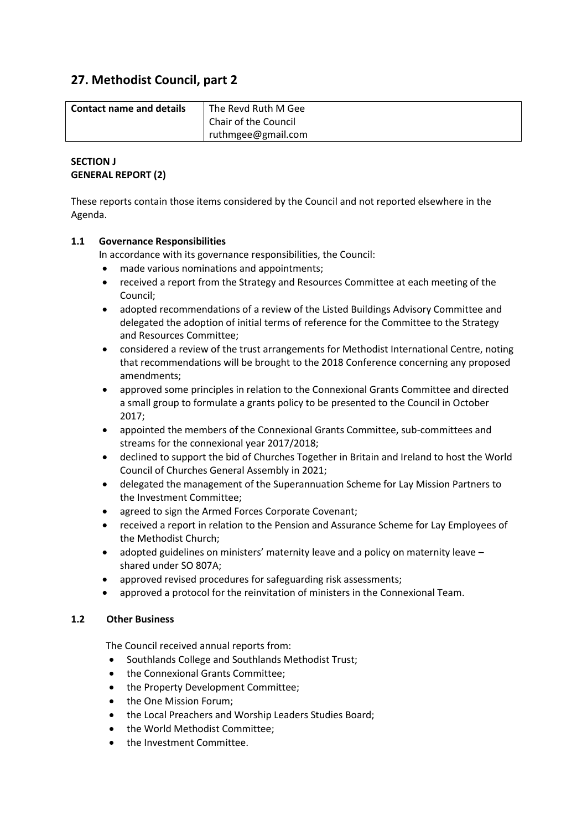# **27. Methodist Council, part 2**

| <b>Contact name and details</b> | The Revd Ruth M Gee  |  |
|---------------------------------|----------------------|--|
|                                 | Chair of the Council |  |
|                                 | ruthmgee@gmail.com   |  |

## **SECTION J GENERAL REPORT (2)**

These reports contain those items considered by the Council and not reported elsewhere in the Agenda.

## **1.1 Governance Responsibilities**

In accordance with its governance responsibilities, the Council:

- made various nominations and appointments;
- received a report from the Strategy and Resources Committee at each meeting of the Council;
- adopted recommendations of a review of the Listed Buildings Advisory Committee and delegated the adoption of initial terms of reference for the Committee to the Strategy and Resources Committee;
- considered a review of the trust arrangements for Methodist International Centre, noting that recommendations will be brought to the 2018 Conference concerning any proposed amendments;
- approved some principles in relation to the Connexional Grants Committee and directed a small group to formulate a grants policy to be presented to the Council in October 2017;
- appointed the members of the Connexional Grants Committee, sub-committees and streams for the connexional year 2017/2018;
- declined to support the bid of Churches Together in Britain and Ireland to host the World Council of Churches General Assembly in 2021;
- delegated the management of the Superannuation Scheme for Lay Mission Partners to the Investment Committee;
- agreed to sign the Armed Forces Corporate Covenant;
- received a report in relation to the Pension and Assurance Scheme for Lay Employees of the Methodist Church;
- adopted guidelines on ministers' maternity leave and a policy on maternity leave shared under SO 807A;
- approved revised procedures for safeguarding risk assessments;
- approved a protocol for the reinvitation of ministers in the Connexional Team.

## **1.2 Other Business**

The Council received annual reports from:

- Southlands College and Southlands Methodist Trust;
- the Connexional Grants Committee;
- the Property Development Committee;
- the One Mission Forum;
- the Local Preachers and Worship Leaders Studies Board;
- the World Methodist Committee:
- **•** the Investment Committee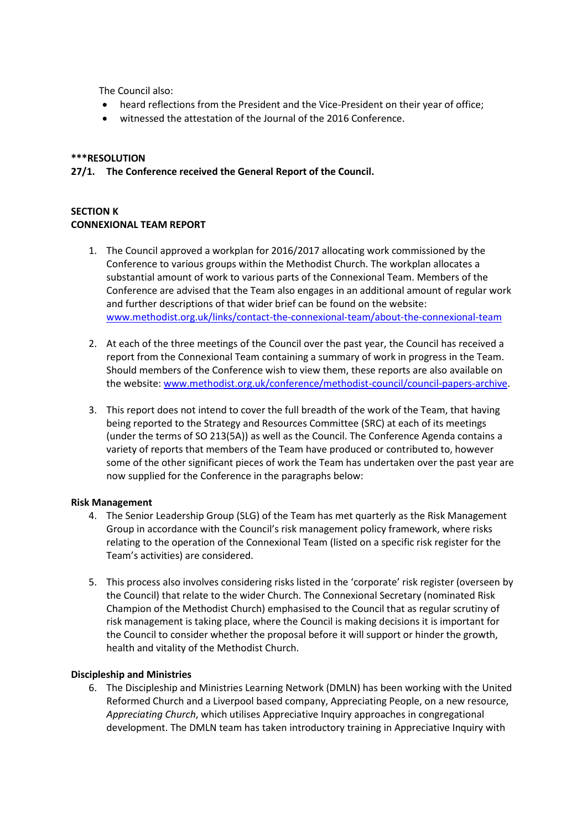The Council also:

- heard reflections from the President and the Vice-President on their year of office;
- witnessed the attestation of the Journal of the 2016 Conference.

#### **\*\*\*RESOLUTION**

**27/1. The Conference received the General Report of the Council.**

## **SECTION K CONNEXIONAL TEAM REPORT**

- 1. The Council approved a workplan for 2016/2017 allocating work commissioned by the Conference to various groups within the Methodist Church. The workplan allocates a substantial amount of work to various parts of the Connexional Team. Members of the Conference are advised that the Team also engages in an additional amount of regular work and further descriptions of that wider brief can be found on the website: [www.methodist.org.uk/links/contact-the-connexional-team/about-the-connexional-team](http://www.methodist.org.uk/links/contact-the-connexional-team/about-the-connexional-team)
- 2. At each of the three meetings of the Council over the past year, the Council has received a report from the Connexional Team containing a summary of work in progress in the Team. Should members of the Conference wish to view them, these reports are also available on the website: [www.methodist.org.uk/conference/methodist-council/council-papers-archive.](http://www.methodist.org.uk/conference/methodist-council/council-papers-archive)
- 3. This report does not intend to cover the full breadth of the work of the Team, that having being reported to the Strategy and Resources Committee (SRC) at each of its meetings (under the terms of SO 213(5A)) as well as the Council. The Conference Agenda contains a variety of reports that members of the Team have produced or contributed to, however some of the other significant pieces of work the Team has undertaken over the past year are now supplied for the Conference in the paragraphs below:

#### **Risk Management**

- 4. The Senior Leadership Group (SLG) of the Team has met quarterly as the Risk Management Group in accordance with the Council's risk management policy framework, where risks relating to the operation of the Connexional Team (listed on a specific risk register for the Team's activities) are considered.
- 5. This process also involves considering risks listed in the 'corporate' risk register (overseen by the Council) that relate to the wider Church. The Connexional Secretary (nominated Risk Champion of the Methodist Church) emphasised to the Council that as regular scrutiny of risk management is taking place, where the Council is making decisions it is important for the Council to consider whether the proposal before it will support or hinder the growth, health and vitality of the Methodist Church.

#### **Discipleship and Ministries**

6. The Discipleship and Ministries Learning Network (DMLN) has been working with the United Reformed Church and a Liverpool based company, Appreciating People, on a new resource, *Appreciating Church*, which utilises Appreciative Inquiry approaches in congregational development. The DMLN team has taken introductory training in Appreciative Inquiry with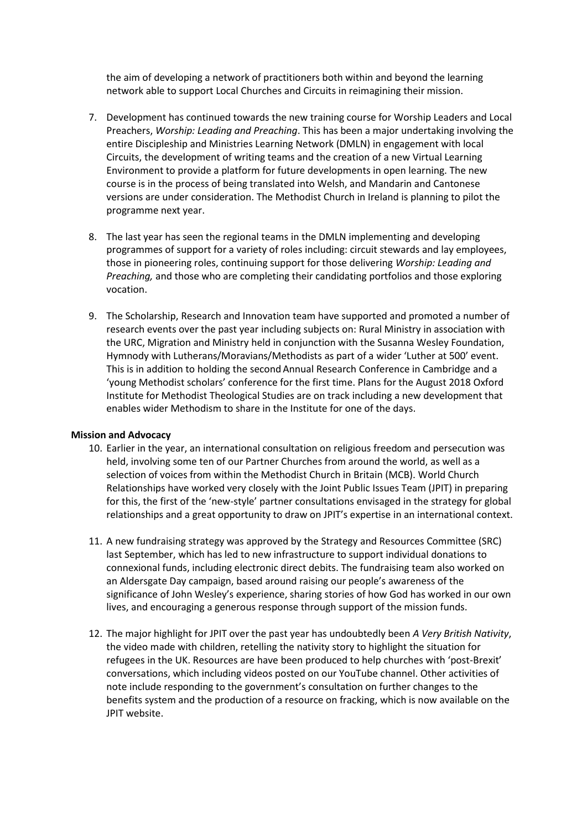the aim of developing a network of practitioners both within and beyond the learning network able to support Local Churches and Circuits in reimagining their mission.

- 7. Development has continued towards the new training course for Worship Leaders and Local Preachers, *Worship: Leading and Preaching*. This has been a major undertaking involving the entire Discipleship and Ministries Learning Network (DMLN) in engagement with local Circuits, the development of writing teams and the creation of a new Virtual Learning Environment to provide a platform for future developments in open learning. The new course is in the process of being translated into Welsh, and Mandarin and Cantonese versions are under consideration. The Methodist Church in Ireland is planning to pilot the programme next year.
- 8. The last year has seen the regional teams in the DMLN implementing and developing programmes of support for a variety of roles including: circuit stewards and lay employees, those in pioneering roles, continuing support for those delivering *Worship: Leading and Preaching,* and those who are completing their candidating portfolios and those exploring vocation.
- 9. The Scholarship, Research and Innovation team have supported and promoted a number of research events over the past year including subjects on: Rural Ministry in association with the URC, Migration and Ministry held in conjunction with the Susanna Wesley Foundation, Hymnody with Lutherans/Moravians/Methodists as part of a wider 'Luther at 500' event. This is in addition to holding the secondAnnual Research Conference in Cambridge and a 'young Methodist scholars' conference for the first time. Plans for the August 2018 Oxford Institute for Methodist Theological Studies are on track including a new development that enables wider Methodism to share in the Institute for one of the days.

#### **Mission and Advocacy**

- 10. Earlier in the year, an international consultation on religious freedom and persecution was held, involving some ten of our Partner Churches from around the world, as well as a selection of voices from within the Methodist Church in Britain (MCB). World Church Relationships have worked very closely with the Joint Public Issues Team (JPIT) in preparing for this, the first of the 'new-style' partner consultations envisaged in the strategy for global relationships and a great opportunity to draw on JPIT's expertise in an international context.
- 11. A new fundraising strategy was approved by the Strategy and Resources Committee (SRC) last September, which has led to new infrastructure to support individual donations to connexional funds, including electronic direct debits. The fundraising team also worked on an Aldersgate Day campaign, based around raising our people's awareness of the significance of John Wesley's experience, sharing stories of how God has worked in our own lives, and encouraging a generous response through support of the mission funds.
- 12. The major highlight for JPIT over the past year has undoubtedly been *A Very British Nativity*, the video made with children, retelling the nativity story to highlight the situation for refugees in the UK. Resources are have been produced to help churches with 'post-Brexit' conversations, which including videos posted on our YouTube channel. Other activities of note include responding to the government's consultation on further changes to the benefits system and the production of a resource on fracking, which is now available on the JPIT website.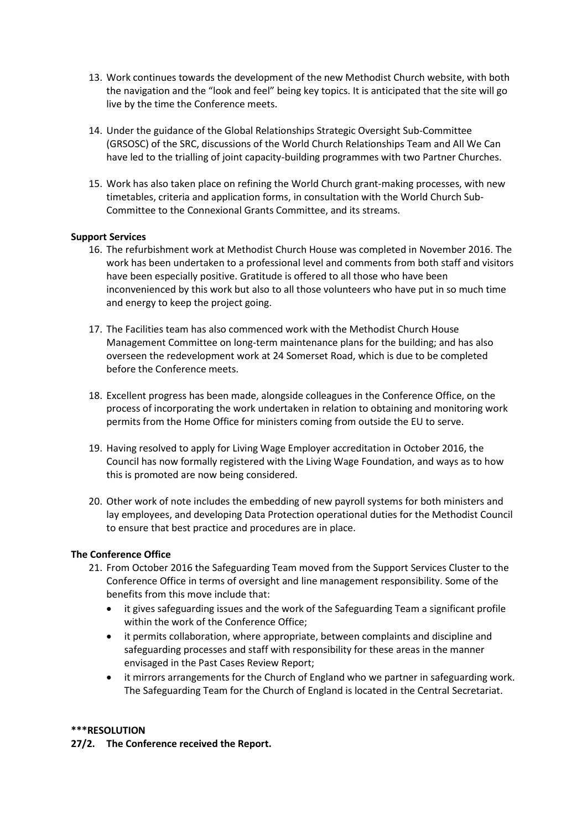- 13. Work continues towards the development of the new Methodist Church website, with both the navigation and the "look and feel" being key topics. It is anticipated that the site will go live by the time the Conference meets.
- 14. Under the guidance of the Global Relationships Strategic Oversight Sub-Committee (GRSOSC) of the SRC, discussions of the World Church Relationships Team and All We Can have led to the trialling of joint capacity-building programmes with two Partner Churches.
- 15. Work has also taken place on refining the World Church grant-making processes, with new timetables, criteria and application forms, in consultation with the World Church Sub-Committee to the Connexional Grants Committee, and its streams.

#### **Support Services**

- 16. The refurbishment work at Methodist Church House was completed in November 2016. The work has been undertaken to a professional level and comments from both staff and visitors have been especially positive. Gratitude is offered to all those who have been inconvenienced by this work but also to all those volunteers who have put in so much time and energy to keep the project going.
- 17. The Facilities team has also commenced work with the Methodist Church House Management Committee on long-term maintenance plans for the building; and has also overseen the redevelopment work at 24 Somerset Road, which is due to be completed before the Conference meets.
- 18. Excellent progress has been made, alongside colleagues in the Conference Office, on the process of incorporating the work undertaken in relation to obtaining and monitoring work permits from the Home Office for ministers coming from outside the EU to serve.
- 19. Having resolved to apply for Living Wage Employer accreditation in October 2016, the Council has now formally registered with the Living Wage Foundation, and ways as to how this is promoted are now being considered.
- 20. Other work of note includes the embedding of new payroll systems for both ministers and lay employees, and developing Data Protection operational duties for the Methodist Council to ensure that best practice and procedures are in place.

#### **The Conference Office**

- 21. From October 2016 the Safeguarding Team moved from the Support Services Cluster to the Conference Office in terms of oversight and line management responsibility. Some of the benefits from this move include that:
	- it gives safeguarding issues and the work of the Safeguarding Team a significant profile within the work of the Conference Office;
	- it permits collaboration, where appropriate, between complaints and discipline and safeguarding processes and staff with responsibility for these areas in the manner envisaged in the Past Cases Review Report;
	- it mirrors arrangements for the Church of England who we partner in safeguarding work. The Safeguarding Team for the Church of England is located in the Central Secretariat.

#### **\*\*\*RESOLUTION**

**27/2. The Conference received the Report.**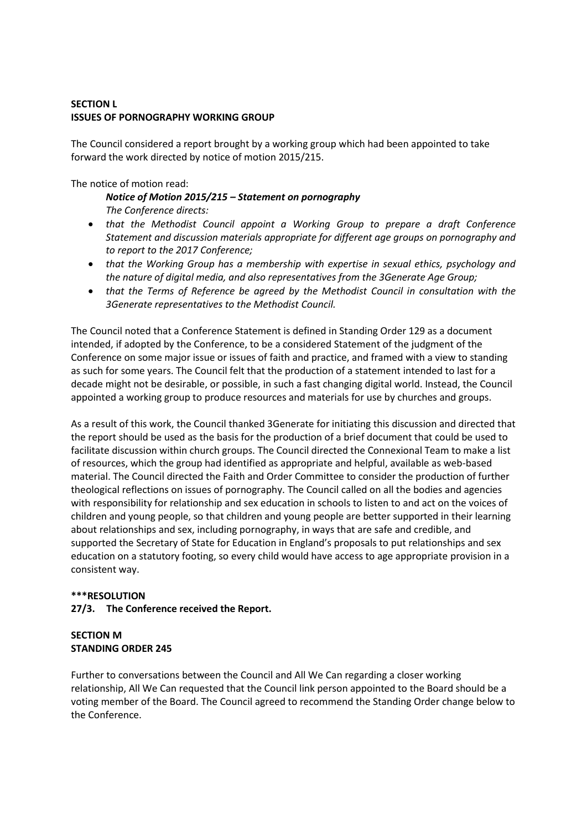## **SECTION L ISSUES OF PORNOGRAPHY WORKING GROUP**

The Council considered a report brought by a working group which had been appointed to take forward the work directed by notice of motion 2015/215.

### The notice of motion read:

## *Notice of Motion 2015/215 – Statement on pornography The Conference directs:*

- *that the Methodist Council appoint a Working Group to prepare a draft Conference Statement and discussion materials appropriate for different age groups on pornography and to report to the 2017 Conference;*
- *that the Working Group has a membership with expertise in sexual ethics, psychology and the nature of digital media, and also representatives from the 3Generate Age Group;*
- *that the Terms of Reference be agreed by the Methodist Council in consultation with the 3Generate representatives to the Methodist Council.*

The Council noted that a Conference Statement is defined in Standing Order 129 as a document intended, if adopted by the Conference, to be a considered Statement of the judgment of the Conference on some major issue or issues of faith and practice, and framed with a view to standing as such for some years. The Council felt that the production of a statement intended to last for a decade might not be desirable, or possible, in such a fast changing digital world. Instead, the Council appointed a working group to produce resources and materials for use by churches and groups.

As a result of this work, the Council thanked 3Generate for initiating this discussion and directed that the report should be used as the basis for the production of a brief document that could be used to facilitate discussion within church groups. The Council directed the Connexional Team to make a list of resources, which the group had identified as appropriate and helpful, available as web-based material. The Council directed the Faith and Order Committee to consider the production of further theological reflections on issues of pornography. The Council called on all the bodies and agencies with responsibility for relationship and sex education in schools to listen to and act on the voices of children and young people, so that children and young people are better supported in their learning about relationships and sex, including pornography, in ways that are safe and credible, and supported the Secretary of State for Education in England's proposals to put relationships and sex education on a statutory footing, so every child would have access to age appropriate provision in a consistent way.

#### **\*\*\*RESOLUTION**

## **27/3. The Conference received the Report.**

### **SECTION M STANDING ORDER 245**

Further to conversations between the Council and All We Can regarding a closer working relationship, All We Can requested that the Council link person appointed to the Board should be a voting member of the Board. The Council agreed to recommend the Standing Order change below to the Conference.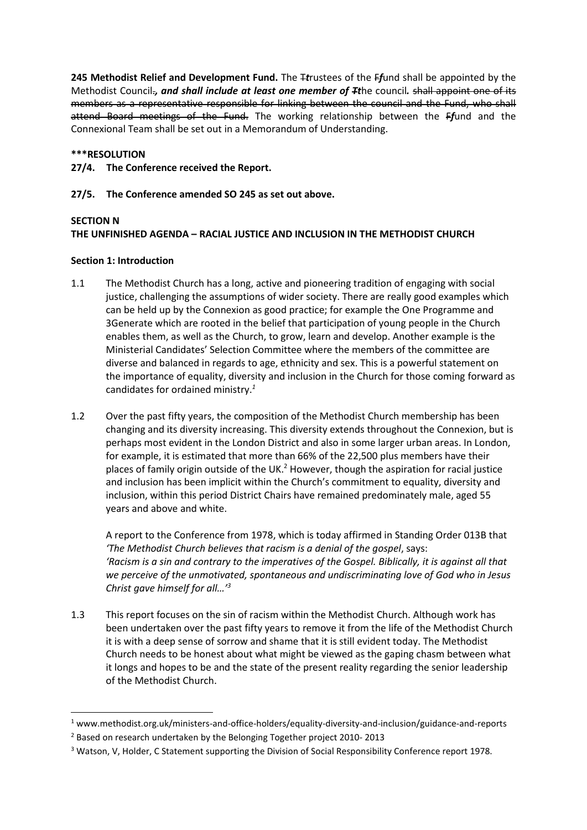**245 Methodist Relief and Development Fund.** The T*t*rustees of the F*f*und shall be appointed by the Methodist Council.*, and shall include at least one member of Tt*he council*.* shall appoint one of its members as a representative responsible for linking between the council and the Fund, who shall attend Board meetings of the Fund. The working relationship between the F*f*und and the Connexional Team shall be set out in a Memorandum of Understanding.

### **\*\*\*RESOLUTION**

**27/4. The Conference received the Report.**

### **27/5. The Conference amended SO 245 as set out above.**

### **SECTION N**

## **THE UNFINISHED AGENDA – RACIAL JUSTICE AND INCLUSION IN THE METHODIST CHURCH**

### **Section 1: Introduction**

- 1.1 The Methodist Church has a long, active and pioneering tradition of engaging with social justice, challenging the assumptions of wider society. There are really good examples which can be held up by the Connexion as good practice; for example the One Programme and 3Generate which are rooted in the belief that participation of young people in the Church enables them, as well as the Church, to grow, learn and develop. Another example is the Ministerial Candidates' Selection Committee where the members of the committee are diverse and balanced in regards to age, ethnicity and sex. This is a powerful statement on the importance of equality, diversity and inclusion in the Church for those coming forward as candidates for ordained ministry.*<sup>1</sup>*
- 1.2 Over the past fifty years, the composition of the Methodist Church membership has been changing and its diversity increasing. This diversity extends throughout the Connexion, but is perhaps most evident in the London District and also in some larger urban areas. In London, for example, it is estimated that more than 66% of the 22,500 plus members have their places of family origin outside of the UK.<sup>2</sup> However, though the aspiration for racial justice and inclusion has been implicit within the Church's commitment to equality, diversity and inclusion, within this period District Chairs have remained predominately male, aged 55 years and above and white.

A report to the Conference from 1978, which is today affirmed in Standing Order 013B that *'The Methodist Church believes that racism is a denial of the gospel*, says: *'Racism is a sin and contrary to the imperatives of the Gospel. Biblically, it is against all that we perceive of the unmotivated, spontaneous and undiscriminating love of God who in Jesus Christ gave himself for all…'<sup>3</sup>*

1.3 This report focuses on the sin of racism within the Methodist Church. Although work has been undertaken over the past fifty years to remove it from the life of the Methodist Church it is with a deep sense of sorrow and shame that it is still evident today. The Methodist Church needs to be honest about what might be viewed as the gaping chasm between what it longs and hopes to be and the state of the present reality regarding the senior leadership of the Methodist Church.

<sup>1</sup> www.methodist.org.uk/ministers-and-office-holders/equality-diversity-and-inclusion/guidance-and-reports <sup>2</sup> Based on research undertaken by the Belonging Together project 2010- 2013

<sup>&</sup>lt;sup>3</sup> Watson, V, Holder, C Statement supporting the Division of Social Responsibility Conference report 1978.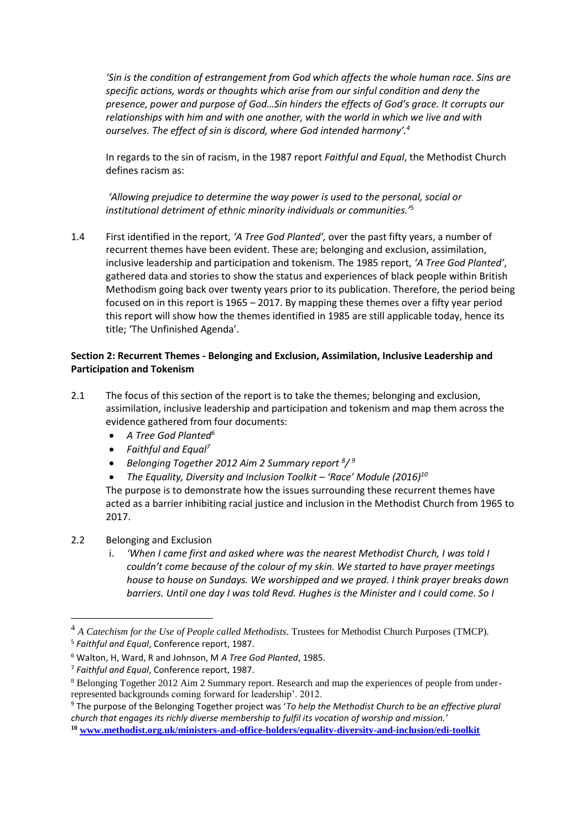*'Sin is the condition of estrangement from God which affects the whole human race. Sins are specific actions, words or thoughts which arise from our sinful condition and deny the presence, power and purpose of God…Sin hinders the effects of God's grace. It corrupts our relationships with him and with one another, with the world in which we live and with ourselves. The effect of sin is discord, where God intended harmony'.<sup>4</sup>*

In regards to the sin of racism, in the 1987 report *Faithful and Equal*, the Methodist Church defines racism as:

*'Allowing prejudice to determine the way power is used to the personal, social or institutional detriment of ethnic minority individuals or communities.'*<sup>5</sup>

1.4 First identified in the report, *'A Tree God Planted',* over the past fifty years, a number of recurrent themes have been evident. These are; belonging and exclusion, assimilation, inclusive leadership and participation and tokenism. The 1985 report, *'A Tree God Planted'*, gathered data and stories to show the status and experiences of black people within British Methodism going back over twenty years prior to its publication. Therefore, the period being focused on in this report is 1965 – 2017. By mapping these themes over a fifty year period this report will show how the themes identified in 1985 are still applicable today, hence its title; 'The Unfinished Agenda'.

## **Section 2: Recurrent Themes - Belonging and Exclusion, Assimilation, Inclusive Leadership and Participation and Tokenism**

- 2.1 The focus of this section of the report is to take the themes; belonging and exclusion, assimilation, inclusive leadership and participation and tokenism and map them across the evidence gathered from four documents:
	- *A Tree God Planted<sup>6</sup>*
	- *Faithful and Equal<sup>7</sup>*
	- *Belonging Together 2012 Aim 2 Summary report <sup>8</sup> / 9*
	- *The Equality, Diversity and Inclusion Toolkit – 'Race' Module (2016)<sup>10</sup>*

The purpose is to demonstrate how the issues surrounding these recurrent themes have acted as a barrier inhibiting racial justice and inclusion in the Methodist Church from 1965 to 2017.

## 2.2 Belonging and Exclusion

i. *'When I came first and asked where was the nearest Methodist Church, I was told I couldn't come because of the colour of my skin. We started to have prayer meetings house to house on Sundays. We worshipped and we prayed. I think prayer breaks down barriers. Until one day I was told Revd. Hughes is the Minister and I could come. So I* 

<sup>4</sup> *A Catechism for the Use of People called Methodists*. Trustees for Methodist Church Purposes (TMCP). 5 *Faithful and Equal*, Conference report, 1987.

<sup>6</sup> Walton, H, Ward, R and Johnson, M *A Tree God Planted*, 1985.

<sup>7</sup> *Faithful and Equal*, Conference report, 1987.

<sup>8</sup> Belonging Together 2012 Aim 2 Summary report. Research and map the experiences of people from underrepresented backgrounds coming forward for leadership'. 2012.

<sup>9</sup> The purpose of the Belonging Together project was '*To help the Methodist Church to be an effective plural church that engages its richly diverse membership to fulfil its vocation of worship and mission.'*

**<sup>10</sup> [www.methodist.org.uk/ministers-and-office-holders/equality-diversity-and-inclusion/edi-toolkit](http://www.methodist.org.uk/ministers-and-office-holders/equality-diversity-and-inclusion/edi-toolkit)**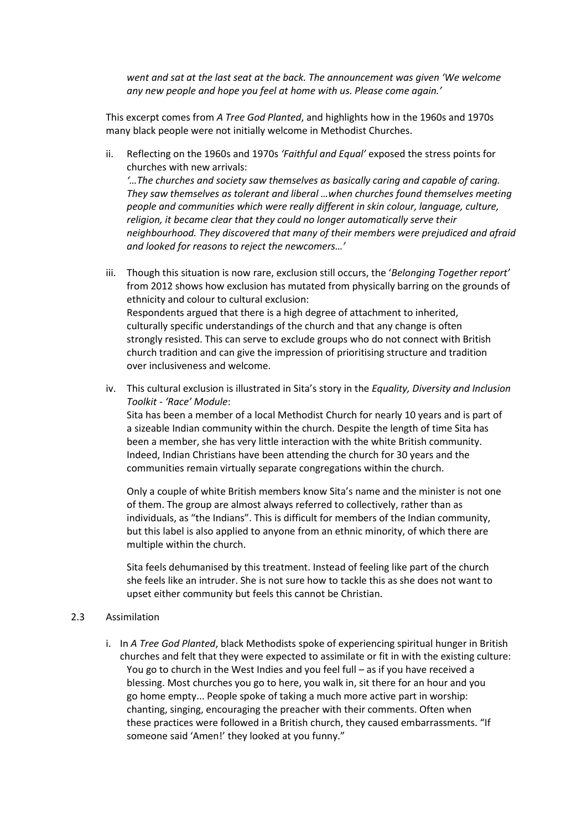*went and sat at the last seat at the back. The announcement was given 'We welcome any new people and hope you feel at home with us. Please come again.'* 

This excerpt comes from *A Tree God Planted*, and highlights how in the 1960s and 1970s many black people were not initially welcome in Methodist Churches.

- ii. Reflecting on the 1960s and 1970s *'Faithful and Equal'* exposed the stress points for churches with new arrivals: *'…The churches and society saw themselves as basically caring and capable of caring. They saw themselves as tolerant and liberal …when churches found themselves meeting people and communities which were really different in skin colour, language, culture, religion, it became clear that they could no longer automatically serve their neighbourhood. They discovered that many of their members were prejudiced and afraid and looked for reasons to reject the newcomers…'*
- iii. Though this situation is now rare, exclusion still occurs, the '*Belonging Together report'* from 2012 shows how exclusion has mutated from physically barring on the grounds of ethnicity and colour to cultural exclusion: Respondents argued that there is a high degree of attachment to inherited, culturally specific understandings of the church and that any change is often strongly resisted. This can serve to exclude groups who do not connect with British church tradition and can give the impression of prioritising structure and tradition over inclusiveness and welcome.
- iv. This cultural exclusion is illustrated in Sita's story in the *Equality, Diversity and Inclusion Toolkit - 'Race' Module*:

Sita has been a member of a local Methodist Church for nearly 10 years and is part of a sizeable Indian community within the church. Despite the length of time Sita has been a member, she has very little interaction with the white British community. Indeed, Indian Christians have been attending the church for 30 years and the communities remain virtually separate congregations within the church.

Only a couple of white British members know Sita's name and the minister is not one of them. The group are almost always referred to collectively, rather than as individuals, as "the Indians". This is difficult for members of the Indian community, but this label is also applied to anyone from an ethnic minority, of which there are multiple within the church.

Sita feels dehumanised by this treatment. Instead of feeling like part of the church she feels like an intruder. She is not sure how to tackle this as she does not want to upset either community but feels this cannot be Christian.

#### 2.3 Assimilation

i. In *A Tree God Planted*, black Methodists spoke of experiencing spiritual hunger in British churches and felt that they were expected to assimilate or fit in with the existing culture: You go to church in the West Indies and you feel full – as if you have received a blessing. Most churches you go to here, you walk in, sit there for an hour and you go home empty... People spoke of taking a much more active part in worship: chanting, singing, encouraging the preacher with their comments. Often when these practices were followed in a British church, they caused embarrassments. "If someone said 'Amen!' they looked at you funny."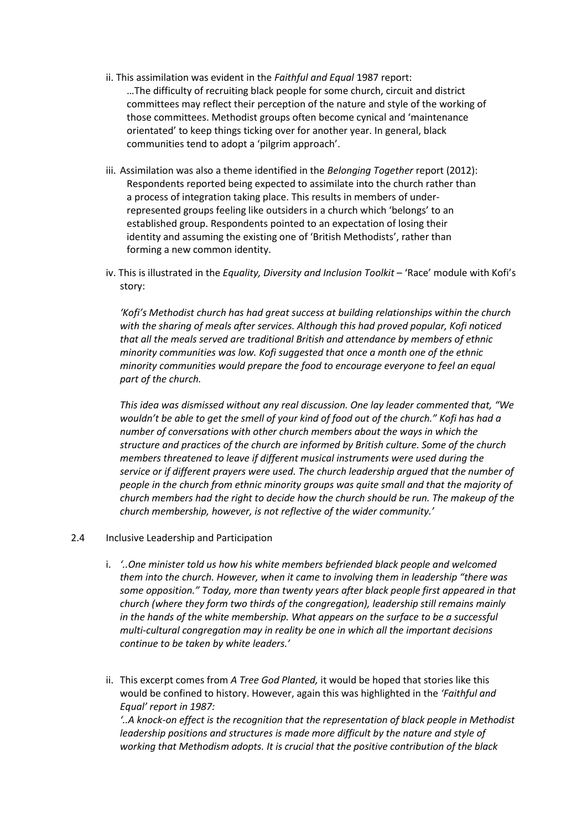- ii. This assimilation was evident in the *Faithful and Equal* 1987 report: …The difficulty of recruiting black people for some church, circuit and district committees may reflect their perception of the nature and style of the working of those committees. Methodist groups often become cynical and 'maintenance orientated' to keep things ticking over for another year. In general, black communities tend to adopt a 'pilgrim approach'.
- iii. Assimilation was also a theme identified in the *Belonging Together* report (2012): Respondents reported being expected to assimilate into the church rather than a process of integration taking place. This results in members of underrepresented groups feeling like outsiders in a church which 'belongs' to an established group. Respondents pointed to an expectation of losing their identity and assuming the existing one of 'British Methodists', rather than forming a new common identity.
- iv. This is illustrated in the *Equality, Diversity and Inclusion Toolkit* 'Race' module with Kofi's story:

*'Kofi's Methodist church has had great success at building relationships within the church with the sharing of meals after services. Although this had proved popular, Kofi noticed that all the meals served are traditional British and attendance by members of ethnic minority communities was low. Kofi suggested that once a month one of the ethnic minority communities would prepare the food to encourage everyone to feel an equal part of the church.* 

*This idea was dismissed without any real discussion. One lay leader commented that, "We wouldn't be able to get the smell of your kind of food out of the church." Kofi has had a number of conversations with other church members about the ways in which the structure and practices of the church are informed by British culture. Some of the church members threatened to leave if different musical instruments were used during the service or if different prayers were used. The church leadership argued that the number of people in the church from ethnic minority groups was quite small and that the majority of church members had the right to decide how the church should be run. The makeup of the church membership, however, is not reflective of the wider community.'*

#### 2.4 Inclusive Leadership and Participation

- i. *'..One minister told us how his white members befriended black people and welcomed them into the church. However, when it came to involving them in leadership "there was some opposition." Today, more than twenty years after black people first appeared in that church (where they form two thirds of the congregation), leadership still remains mainly in the hands of the white membership. What appears on the surface to be a successful multi-cultural congregation may in reality be one in which all the important decisions continue to be taken by white leaders.'*
- ii. This excerpt comes from *A Tree God Planted,* it would be hoped that stories like this would be confined to history. However, again this was highlighted in the *'Faithful and Equal' report in 1987:*

*'..A knock-on effect is the recognition that the representation of black people in Methodist leadership positions and structures is made more difficult by the nature and style of working that Methodism adopts. It is crucial that the positive contribution of the black*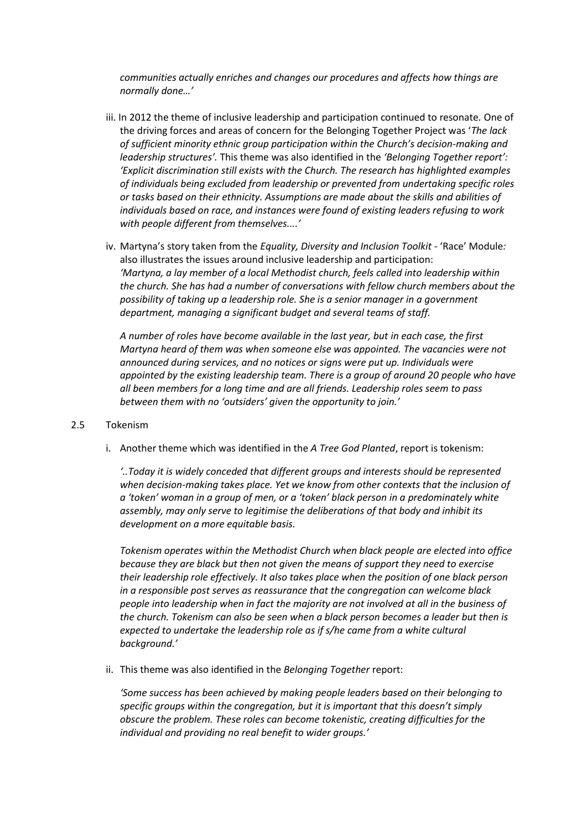*communities actually enriches and changes our procedures and affects how things are normally done…'* 

- iii. In 2012 the theme of inclusive leadership and participation continued to resonate*.* One of the driving forces and areas of concern for the Belonging Together Project was '*The lack of sufficient minority ethnic group participation within the Church's decision-making and leadership structures'.* This theme was also identified in the *'Belonging Together report': 'Explicit discrimination still exists with the Church. The research has highlighted examples of individuals being excluded from leadership or prevented from undertaking specific roles or tasks based on their ethnicity. Assumptions are made about the skills and abilities of individuals based on race, and instances were found of existing leaders refusing to work with people different from themselves....'*
- iv. Martyna's story taken from the *Equality, Diversity and Inclusion Toolkit -* 'Race' Module*:*  also illustrates the issues around inclusive leadership and participation: *'Martyna, a lay member of a local Methodist church, feels called into leadership within the church. She has had a number of conversations with fellow church members about the possibility of taking up a leadership role. She is a senior manager in a government department, managing a significant budget and several teams of staff.*

*A number of roles have become available in the last year, but in each case, the first Martyna heard of them was when someone else was appointed. The vacancies were not announced during services, and no notices or signs were put up. Individuals were appointed by the existing leadership team. There is a group of around 20 people who have all been members for a long time and are all friends. Leadership roles seem to pass between them with no 'outsiders' given the opportunity to join.'*

#### 2.5 Tokenism

i. Another theme which was identified in the *A Tree God Planted*, report is tokenism:

*'..Today it is widely conceded that different groups and interests should be represented when decision-making takes place. Yet we know from other contexts that the inclusion of a 'token' woman in a group of men, or a 'token' black person in a predominately white assembly, may only serve to legitimise the deliberations of that body and inhibit its development on a more equitable basis.* 

*Tokenism operates within the Methodist Church when black people are elected into office because they are black but then not given the means of support they need to exercise their leadership role effectively. It also takes place when the position of one black person in a responsible post serves as reassurance that the congregation can welcome black people into leadership when in fact the majority are not involved at all in the business of the church. Tokenism can also be seen when a black person becomes a leader but then is expected to undertake the leadership role as if s/he came from a white cultural background.'* 

ii. This theme was also identified in the *Belonging Together* report:

*'Some success has been achieved by making people leaders based on their belonging to specific groups within the congregation, but it is important that this doesn't simply obscure the problem. These roles can become tokenistic, creating difficulties for the individual and providing no real benefit to wider groups.'*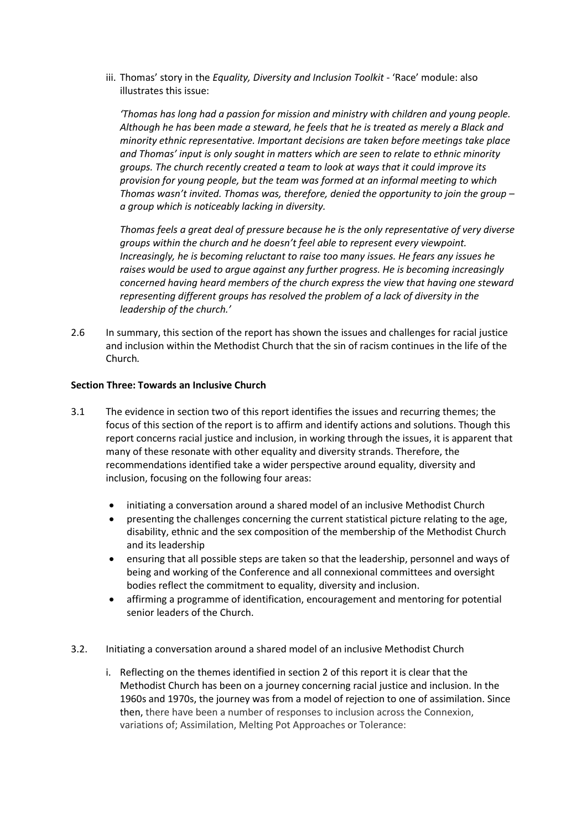iii. Thomas' story in the *Equality, Diversity and Inclusion Toolkit* - 'Race' module: also illustrates this issue:

*'Thomas has long had a passion for mission and ministry with children and young people. Although he has been made a steward, he feels that he is treated as merely a Black and minority ethnic representative. Important decisions are taken before meetings take place and Thomas' input is only sought in matters which are seen to relate to ethnic minority groups. The church recently created a team to look at ways that it could improve its provision for young people, but the team was formed at an informal meeting to which Thomas wasn't invited. Thomas was, therefore, denied the opportunity to join the group – a group which is noticeably lacking in diversity.* 

*Thomas feels a great deal of pressure because he is the only representative of very diverse groups within the church and he doesn't feel able to represent every viewpoint. Increasingly, he is becoming reluctant to raise too many issues. He fears any issues he raises would be used to argue against any further progress. He is becoming increasingly concerned having heard members of the church express the view that having one steward representing different groups has resolved the problem of a lack of diversity in the leadership of the church.'*

2.6 In summary, this section of the report has shown the issues and challenges for racial justice and inclusion within the Methodist Church that the sin of racism continues in the life of the Church*.*

#### **Section Three: Towards an Inclusive Church**

- 3.1 The evidence in section two of this report identifies the issues and recurring themes; the focus of this section of the report is to affirm and identify actions and solutions. Though this report concerns racial justice and inclusion, in working through the issues, it is apparent that many of these resonate with other equality and diversity strands. Therefore, the recommendations identified take a wider perspective around equality, diversity and inclusion, focusing on the following four areas:
	- initiating a conversation around a shared model of an inclusive Methodist Church
	- presenting the challenges concerning the current statistical picture relating to the age, disability, ethnic and the sex composition of the membership of the Methodist Church and its leadership
	- ensuring that all possible steps are taken so that the leadership, personnel and ways of being and working of the Conference and all connexional committees and oversight bodies reflect the commitment to equality, diversity and inclusion.
	- affirming a programme of identification, encouragement and mentoring for potential senior leaders of the Church.
- 3.2. Initiating a conversation around a shared model of an inclusive Methodist Church
	- i. Reflecting on the themes identified in section 2 of this report it is clear that the Methodist Church has been on a journey concerning racial justice and inclusion. In the 1960s and 1970s, the journey was from a model of rejection to one of assimilation. Since then, there have been a number of responses to inclusion across the Connexion, variations of; Assimilation, Melting Pot Approaches or Tolerance: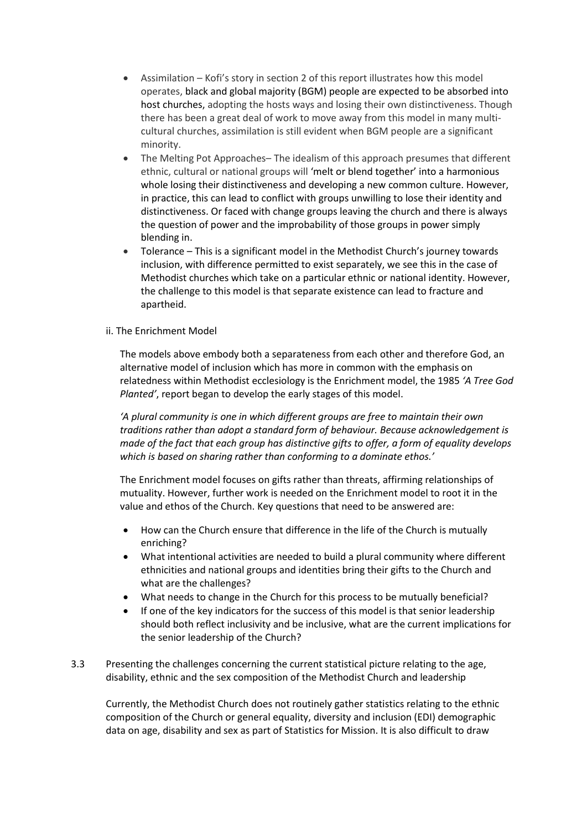- Assimilation Kofi's story in section 2 of this report illustrates how this model operates, black and global majority (BGM) people are expected to be absorbed into host churches, adopting the hosts ways and losing their own distinctiveness. Though there has been a great deal of work to move away from this model in many multicultural churches, assimilation is still evident when BGM people are a significant minority.
- The Melting Pot Approaches– The idealism of this approach presumes that different ethnic, cultural or national groups will 'melt or blend together' into a harmonious whole losing their distinctiveness and developing a new common culture. However, in practice, this can lead to conflict with groups unwilling to lose their identity and distinctiveness. Or faced with change groups leaving the church and there is always the question of power and the improbability of those groups in power simply blending in.
- Tolerance This is a significant model in the Methodist Church's journey towards inclusion, with difference permitted to exist separately, we see this in the case of Methodist churches which take on a particular ethnic or national identity. However, the challenge to this model is that separate existence can lead to fracture and apartheid.
- ii. The Enrichment Model

The models above embody both a separateness from each other and therefore God, an alternative model of inclusion which has more in common with the emphasis on relatedness within Methodist ecclesiology is the Enrichment model, the 1985 *'A Tree God Planted'*, report began to develop the early stages of this model.

*'A plural community is one in which different groups are free to maintain their own traditions rather than adopt a standard form of behaviour. Because acknowledgement is made of the fact that each group has distinctive gifts to offer, a form of equality develops which is based on sharing rather than conforming to a dominate ethos.'*

The Enrichment model focuses on gifts rather than threats, affirming relationships of mutuality. However, further work is needed on the Enrichment model to root it in the value and ethos of the Church. Key questions that need to be answered are:

- How can the Church ensure that difference in the life of the Church is mutually enriching?
- What intentional activities are needed to build a plural community where different ethnicities and national groups and identities bring their gifts to the Church and what are the challenges?
- What needs to change in the Church for this process to be mutually beneficial?
- If one of the key indicators for the success of this model is that senior leadership should both reflect inclusivity and be inclusive, what are the current implications for the senior leadership of the Church?
- 3.3 Presenting the challenges concerning the current statistical picture relating to the age, disability, ethnic and the sex composition of the Methodist Church and leadership

Currently, the Methodist Church does not routinely gather statistics relating to the ethnic composition of the Church or general equality, diversity and inclusion (EDI) demographic data on age, disability and sex as part of Statistics for Mission. It is also difficult to draw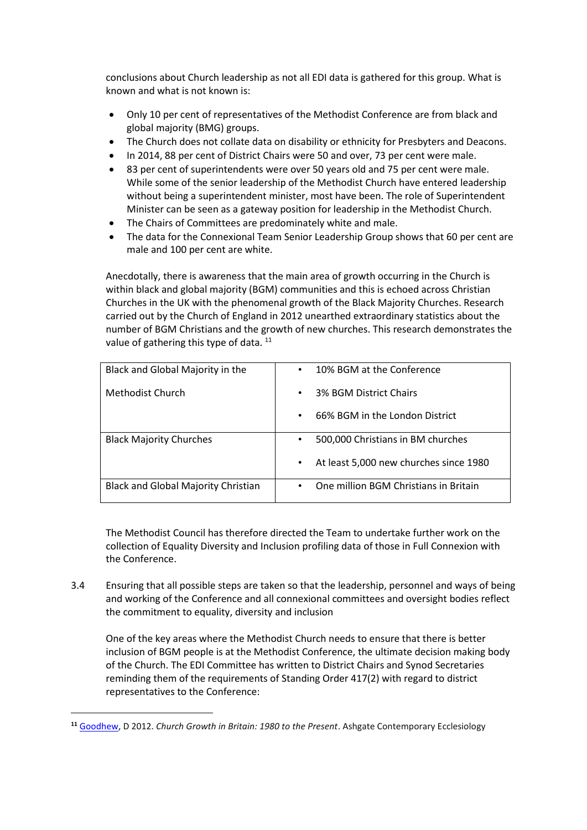conclusions about Church leadership as not all EDI data is gathered for this group. What is known and what is not known is:

- Only 10 per cent of representatives of the Methodist Conference are from black and global majority (BMG) groups.
- The Church does not collate data on disability or ethnicity for Presbyters and Deacons.
- In 2014, 88 per cent of District Chairs were 50 and over, 73 per cent were male.
- 83 per cent of superintendents were over 50 years old and 75 per cent were male. While some of the senior leadership of the Methodist Church have entered leadership without being a superintendent minister, most have been. The role of Superintendent Minister can be seen as a gateway position for leadership in the Methodist Church.
- The Chairs of Committees are predominately white and male.
- The data for the Connexional Team Senior Leadership Group shows that 60 per cent are male and 100 per cent are white.

Anecdotally, there is awareness that the main area of growth occurring in the Church is within black and global majority (BGM) communities and this is echoed across Christian Churches in the UK with the phenomenal growth of the Black Majority Churches. Research carried out by the Church of England in 2012 unearthed extraordinary statistics about the number of BGM Christians and the growth of new churches. This research demonstrates the value of gathering this type of data. <sup>11</sup>

| Black and Global Majority in the           | 10% BGM at the Conference<br>$\bullet$         |
|--------------------------------------------|------------------------------------------------|
| Methodist Church                           | 3% BGM District Chairs<br>٠                    |
|                                            | 66% BGM in the London District<br>$\bullet$    |
| <b>Black Majority Churches</b>             | 500,000 Christians in BM churches<br>$\bullet$ |
|                                            | At least 5,000 new churches since 1980<br>٠    |
| <b>Black and Global Majority Christian</b> | One million BGM Christians in Britain<br>٠     |

The Methodist Council has therefore directed the Team to undertake further work on the collection of Equality Diversity and Inclusion profiling data of those in Full Connexion with the Conference.

3.4 Ensuring that all possible steps are taken so that the leadership, personnel and ways of being and working of the Conference and all connexional committees and oversight bodies reflect the commitment to equality, diversity and inclusion

One of the key areas where the Methodist Church needs to ensure that there is better inclusion of BGM people is at the Methodist Conference, the ultimate decision making body of the Church. The EDI Committee has written to District Chairs and Synod Secretaries reminding them of the requirements of Standing Order 417(2) with regard to district representatives to the Conference:

**<sup>11</sup>** [Goodhew,](https://www.amazon.co.uk/s/ref=dp_byline_sr_book_1?ie=UTF8&text=David+Goodhew&search-alias=books-uk&field-author=David+Goodhew&sort=relevancerank) D 2012. *Church Growth in Britain: 1980 to the Present*. Ashgate Contemporary Ecclesiology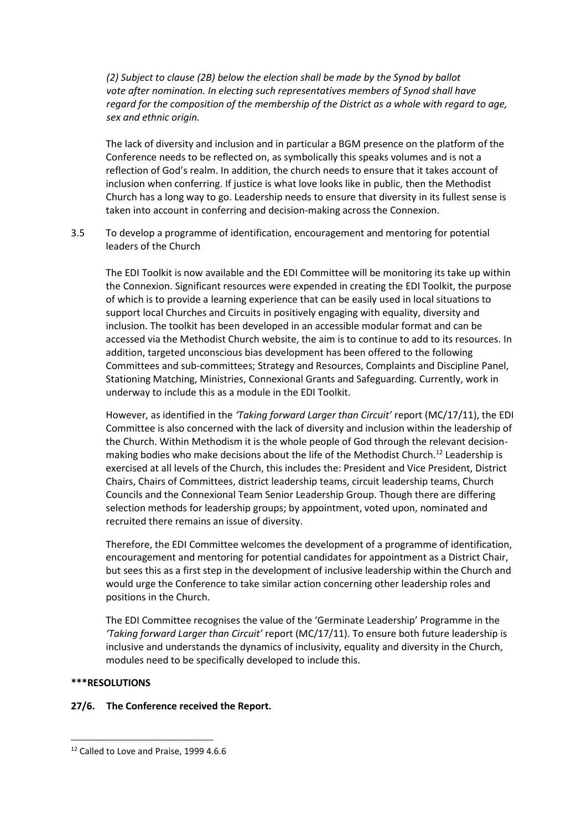*(2) Subject to clause (2B) below the election shall be made by the Synod by ballot vote after nomination. In electing such representatives members of Synod shall have regard for the composition of the membership of the District as a whole with regard to age, sex and ethnic origin.* 

The lack of diversity and inclusion and in particular a BGM presence on the platform of the Conference needs to be reflected on, as symbolically this speaks volumes and is not a reflection of God's realm. In addition, the church needs to ensure that it takes account of inclusion when conferring. If justice is what love looks like in public, then the Methodist Church has a long way to go. Leadership needs to ensure that diversity in its fullest sense is taken into account in conferring and decision-making across the Connexion.

3.5 To develop a programme of identification, encouragement and mentoring for potential leaders of the Church

The EDI Toolkit is now available and the EDI Committee will be monitoring its take up within the Connexion. Significant resources were expended in creating the EDI Toolkit, the purpose of which is to provide a learning experience that can be easily used in local situations to support local Churches and Circuits in positively engaging with equality, diversity and inclusion. The toolkit has been developed in an accessible modular format and can be accessed via the Methodist Church website, the aim is to continue to add to its resources. In addition, targeted unconscious bias development has been offered to the following Committees and sub-committees; Strategy and Resources, Complaints and Discipline Panel, Stationing Matching, Ministries, Connexional Grants and Safeguarding. Currently, work in underway to include this as a module in the EDI Toolkit.

However, as identified in the *'Taking forward Larger than Circuit'* report (MC/17/11), the EDI Committee is also concerned with the lack of diversity and inclusion within the leadership of the Church. Within Methodism it is the whole people of God through the relevant decisionmaking bodies who make decisions about the life of the Methodist Church.<sup>12</sup> Leadership is exercised at all levels of the Church, this includes the: President and Vice President, District Chairs, Chairs of Committees, district leadership teams, circuit leadership teams, Church Councils and the Connexional Team Senior Leadership Group. Though there are differing selection methods for leadership groups; by appointment, voted upon, nominated and recruited there remains an issue of diversity.

Therefore, the EDI Committee welcomes the development of a programme of identification, encouragement and mentoring for potential candidates for appointment as a District Chair, but sees this as a first step in the development of inclusive leadership within the Church and would urge the Conference to take similar action concerning other leadership roles and positions in the Church.

The EDI Committee recognises the value of the 'Germinate Leadership' Programme in the *'Taking forward Larger than Circuit'* report (MC/17/11). To ensure both future leadership is inclusive and understands the dynamics of inclusivity, equality and diversity in the Church, modules need to be specifically developed to include this.

#### **\*\*\*RESOLUTIONS**

#### **27/6. The Conference received the Report.**

<sup>&</sup>lt;sup>12</sup> Called to Love and Praise, 1999 4.6.6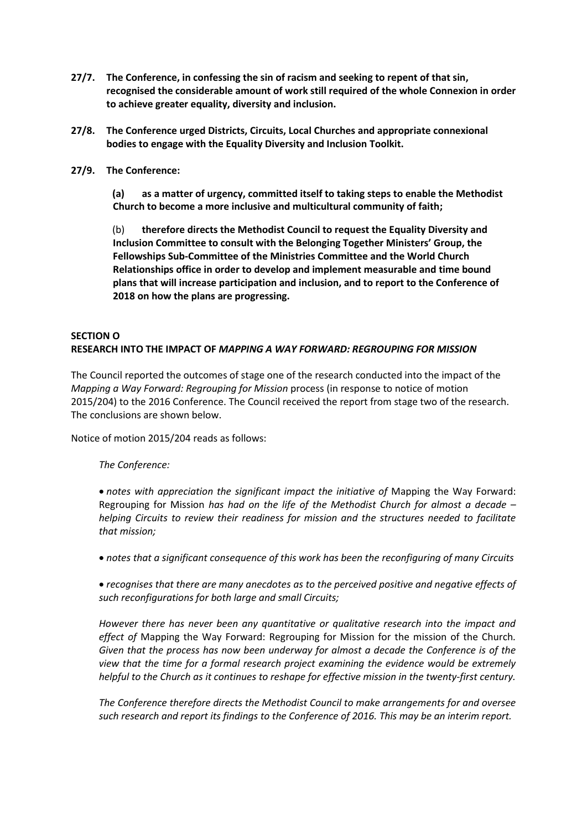- **27/7. The Conference, in confessing the sin of racism and seeking to repent of that sin, recognised the considerable amount of work still required of the whole Connexion in order to achieve greater equality, diversity and inclusion.**
- **27/8. The Conference urged Districts, Circuits, Local Churches and appropriate connexional bodies to engage with the Equality Diversity and Inclusion Toolkit.**
- **27/9. The Conference:**

**(a) as a matter of urgency, committed itself to taking steps to enable the Methodist Church to become a more inclusive and multicultural community of faith;**

(b) **therefore directs the Methodist Council to request the Equality Diversity and Inclusion Committee to consult with the Belonging Together Ministers' Group, the Fellowships Sub-Committee of the Ministries Committee and the World Church Relationships office in order to develop and implement measurable and time bound plans that will increase participation and inclusion, and to report to the Conference of 2018 on how the plans are progressing.**

## **SECTION O RESEARCH INTO THE IMPACT OF** *MAPPING A WAY FORWARD: REGROUPING FOR MISSION*

The Council reported the outcomes of stage one of the research conducted into the impact of the *Mapping a Way Forward: Regrouping for Mission* process (in response to notice of motion 2015/204) to the 2016 Conference. The Council received the report from stage two of the research. The conclusions are shown below.

Notice of motion 2015/204 reads as follows:

## *The Conference:*

• notes with appreciation the significant impact the initiative of Mapping the Way Forward: Regrouping for Mission *has had on the life of the Methodist Church for almost a decade – helping Circuits to review their readiness for mission and the structures needed to facilitate that mission;*

*notes that a significant consequence of this work has been the reconfiguring of many Circuits*

 *recognises that there are many anecdotes as to the perceived positive and negative effects of such reconfigurations for both large and small Circuits;*

*However there has never been any quantitative or qualitative research into the impact and effect of* Mapping the Way Forward: Regrouping for Mission for the mission of the Church*. Given that the process has now been underway for almost a decade the Conference is of the view that the time for a formal research project examining the evidence would be extremely helpful to the Church as it continues to reshape for effective mission in the twenty-first century.*

*The Conference therefore directs the Methodist Council to make arrangements for and oversee such research and report its findings to the Conference of 2016. This may be an interim report.*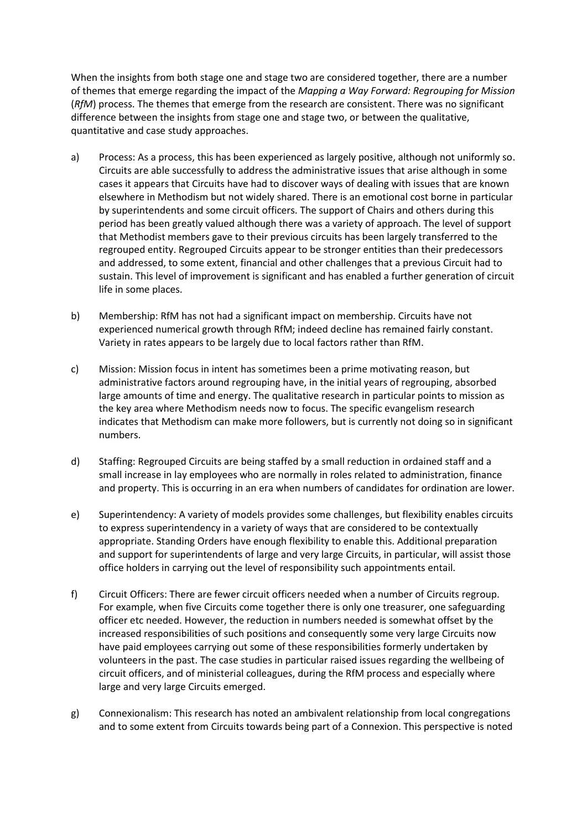When the insights from both stage one and stage two are considered together, there are a number of themes that emerge regarding the impact of the *Mapping a Way Forward: Regrouping for Mission* (*RfM*) process. The themes that emerge from the research are consistent. There was no significant difference between the insights from stage one and stage two, or between the qualitative, quantitative and case study approaches.

- a) Process: As a process, this has been experienced as largely positive, although not uniformly so. Circuits are able successfully to address the administrative issues that arise although in some cases it appears that Circuits have had to discover ways of dealing with issues that are known elsewhere in Methodism but not widely shared. There is an emotional cost borne in particular by superintendents and some circuit officers. The support of Chairs and others during this period has been greatly valued although there was a variety of approach. The level of support that Methodist members gave to their previous circuits has been largely transferred to the regrouped entity. Regrouped Circuits appear to be stronger entities than their predecessors and addressed, to some extent, financial and other challenges that a previous Circuit had to sustain. This level of improvement is significant and has enabled a further generation of circuit life in some places.
- b) Membership: RfM has not had a significant impact on membership. Circuits have not experienced numerical growth through RfM; indeed decline has remained fairly constant. Variety in rates appears to be largely due to local factors rather than RfM.
- c) Mission: Mission focus in intent has sometimes been a prime motivating reason, but administrative factors around regrouping have, in the initial years of regrouping, absorbed large amounts of time and energy. The qualitative research in particular points to mission as the key area where Methodism needs now to focus. The specific evangelism research indicates that Methodism can make more followers, but is currently not doing so in significant numbers.
- d) Staffing: Regrouped Circuits are being staffed by a small reduction in ordained staff and a small increase in lay employees who are normally in roles related to administration, finance and property. This is occurring in an era when numbers of candidates for ordination are lower.
- e) Superintendency: A variety of models provides some challenges, but flexibility enables circuits to express superintendency in a variety of ways that are considered to be contextually appropriate. Standing Orders have enough flexibility to enable this. Additional preparation and support for superintendents of large and very large Circuits, in particular, will assist those office holders in carrying out the level of responsibility such appointments entail.
- f) Circuit Officers: There are fewer circuit officers needed when a number of Circuits regroup. For example, when five Circuits come together there is only one treasurer, one safeguarding officer etc needed. However, the reduction in numbers needed is somewhat offset by the increased responsibilities of such positions and consequently some very large Circuits now have paid employees carrying out some of these responsibilities formerly undertaken by volunteers in the past. The case studies in particular raised issues regarding the wellbeing of circuit officers, and of ministerial colleagues, during the RfM process and especially where large and very large Circuits emerged.
- g) Connexionalism: This research has noted an ambivalent relationship from local congregations and to some extent from Circuits towards being part of a Connexion. This perspective is noted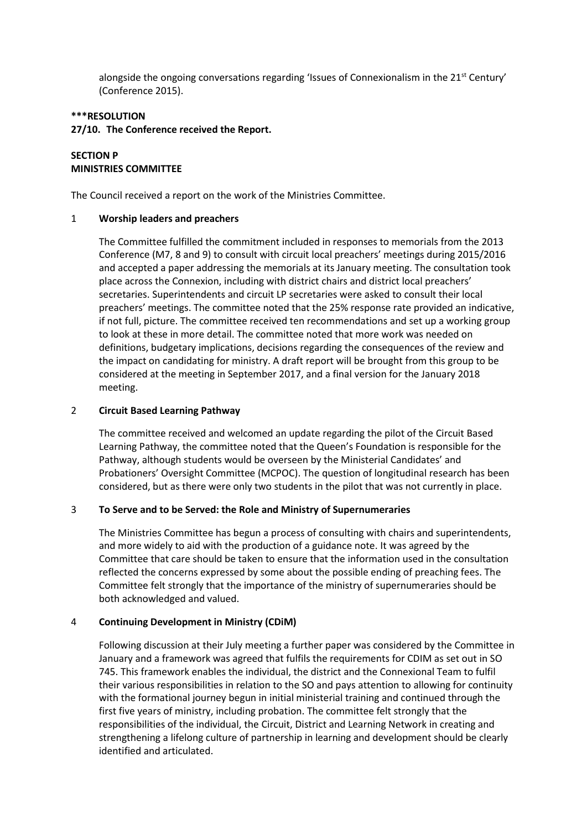alongside the ongoing conversations regarding 'Issues of Connexionalism in the  $21<sup>st</sup>$  Century' (Conference 2015).

#### **\*\*\*RESOLUTION**

#### **27/10. The Conference received the Report.**

#### **SECTION P MINISTRIES COMMITTEE**

The Council received a report on the work of the Ministries Committee.

#### 1 **Worship leaders and preachers**

The Committee fulfilled the commitment included in responses to memorials from the 2013 Conference (M7, 8 and 9) to consult with circuit local preachers' meetings during 2015/2016 and accepted a paper addressing the memorials at its January meeting. The consultation took place across the Connexion, including with district chairs and district local preachers' secretaries. Superintendents and circuit LP secretaries were asked to consult their local preachers' meetings. The committee noted that the 25% response rate provided an indicative, if not full, picture. The committee received ten recommendations and set up a working group to look at these in more detail. The committee noted that more work was needed on definitions, budgetary implications, decisions regarding the consequences of the review and the impact on candidating for ministry. A draft report will be brought from this group to be considered at the meeting in September 2017, and a final version for the January 2018 meeting.

#### 2 **Circuit Based Learning Pathway**

The committee received and welcomed an update regarding the pilot of the Circuit Based Learning Pathway, the committee noted that the Queen's Foundation is responsible for the Pathway, although students would be overseen by the Ministerial Candidates' and Probationers' Oversight Committee (MCPOC). The question of longitudinal research has been considered, but as there were only two students in the pilot that was not currently in place.

#### 3 **To Serve and to be Served: the Role and Ministry of Supernumeraries**

The Ministries Committee has begun a process of consulting with chairs and superintendents, and more widely to aid with the production of a guidance note. It was agreed by the Committee that care should be taken to ensure that the information used in the consultation reflected the concerns expressed by some about the possible ending of preaching fees. The Committee felt strongly that the importance of the ministry of supernumeraries should be both acknowledged and valued.

#### 4 **Continuing Development in Ministry (CDiM)**

Following discussion at their July meeting a further paper was considered by the Committee in January and a framework was agreed that fulfils the requirements for CDIM as set out in SO 745. This framework enables the individual, the district and the Connexional Team to fulfil their various responsibilities in relation to the SO and pays attention to allowing for continuity with the formational journey begun in initial ministerial training and continued through the first five years of ministry, including probation. The committee felt strongly that the responsibilities of the individual, the Circuit, District and Learning Network in creating and strengthening a lifelong culture of partnership in learning and development should be clearly identified and articulated.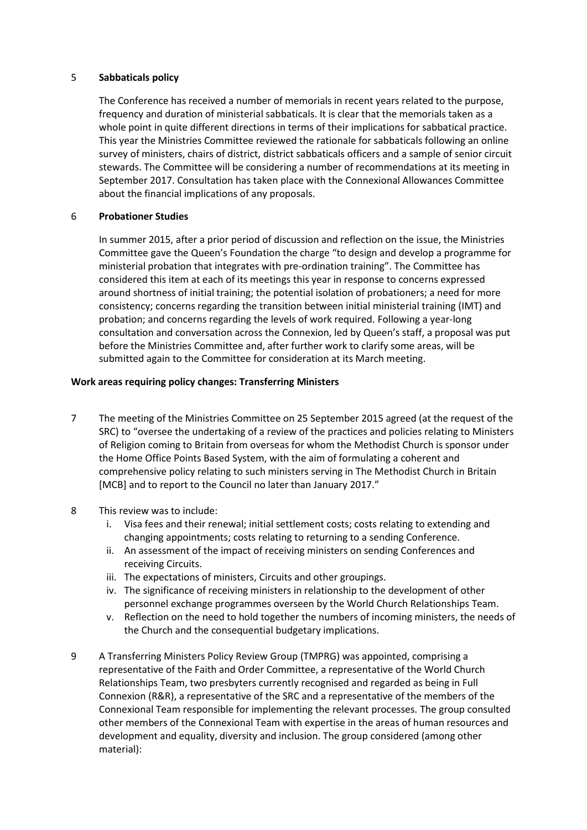#### 5 **Sabbaticals policy**

The Conference has received a number of memorials in recent years related to the purpose, frequency and duration of ministerial sabbaticals. It is clear that the memorials taken as a whole point in quite different directions in terms of their implications for sabbatical practice. This year the Ministries Committee reviewed the rationale for sabbaticals following an online survey of ministers, chairs of district, district sabbaticals officers and a sample of senior circuit stewards. The Committee will be considering a number of recommendations at its meeting in September 2017. Consultation has taken place with the Connexional Allowances Committee about the financial implications of any proposals.

#### 6 **Probationer Studies**

In summer 2015, after a prior period of discussion and reflection on the issue, the Ministries Committee gave the Queen's Foundation the charge "to design and develop a programme for ministerial probation that integrates with pre-ordination training". The Committee has considered this item at each of its meetings this year in response to concerns expressed around shortness of initial training; the potential isolation of probationers; a need for more consistency; concerns regarding the transition between initial ministerial training (IMT) and probation; and concerns regarding the levels of work required. Following a year-long consultation and conversation across the Connexion, led by Queen's staff, a proposal was put before the Ministries Committee and, after further work to clarify some areas, will be submitted again to the Committee for consideration at its March meeting.

#### **Work areas requiring policy changes: Transferring Ministers**

- 7 The meeting of the Ministries Committee on 25 September 2015 agreed (at the request of the SRC) to "oversee the undertaking of a review of the practices and policies relating to Ministers of Religion coming to Britain from overseas for whom the Methodist Church is sponsor under the Home Office Points Based System, with the aim of formulating a coherent and comprehensive policy relating to such ministers serving in The Methodist Church in Britain [MCB] and to report to the Council no later than January 2017."
- 8 This review was to include:
	- i. Visa fees and their renewal; initial settlement costs; costs relating to extending and changing appointments; costs relating to returning to a sending Conference.
	- ii. An assessment of the impact of receiving ministers on sending Conferences and receiving Circuits.
	- iii. The expectations of ministers, Circuits and other groupings.
	- iv. The significance of receiving ministers in relationship to the development of other personnel exchange programmes overseen by the World Church Relationships Team.
	- v. Reflection on the need to hold together the numbers of incoming ministers, the needs of the Church and the consequential budgetary implications.
- 9 A Transferring Ministers Policy Review Group (TMPRG) was appointed, comprising a representative of the Faith and Order Committee, a representative of the World Church Relationships Team, two presbyters currently recognised and regarded as being in Full Connexion (R&R), a representative of the SRC and a representative of the members of the Connexional Team responsible for implementing the relevant processes. The group consulted other members of the Connexional Team with expertise in the areas of human resources and development and equality, diversity and inclusion. The group considered (among other material):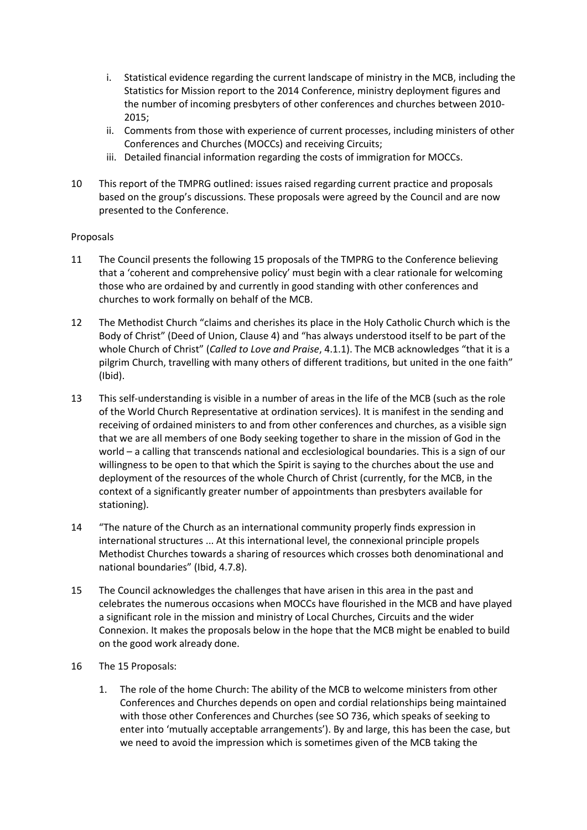- i. Statistical evidence regarding the current landscape of ministry in the MCB, including the Statistics for Mission report to the 2014 Conference, ministry deployment figures and the number of incoming presbyters of other conferences and churches between 2010- 2015;
- ii. Comments from those with experience of current processes, including ministers of other Conferences and Churches (MOCCs) and receiving Circuits;
- iii. Detailed financial information regarding the costs of immigration for MOCCs.
- 10 This report of the TMPRG outlined: issues raised regarding current practice and proposals based on the group's discussions. These proposals were agreed by the Council and are now presented to the Conference.

### Proposals

- 11 The Council presents the following 15 proposals of the TMPRG to the Conference believing that a 'coherent and comprehensive policy' must begin with a clear rationale for welcoming those who are ordained by and currently in good standing with other conferences and churches to work formally on behalf of the MCB.
- 12 The Methodist Church "claims and cherishes its place in the Holy Catholic Church which is the Body of Christ" (Deed of Union, Clause 4) and "has always understood itself to be part of the whole Church of Christ" (*Called to Love and Praise*, 4.1.1). The MCB acknowledges "that it is a pilgrim Church, travelling with many others of different traditions, but united in the one faith" (Ibid).
- 13 This self-understanding is visible in a number of areas in the life of the MCB (such as the role of the World Church Representative at ordination services). It is manifest in the sending and receiving of ordained ministers to and from other conferences and churches, as a visible sign that we are all members of one Body seeking together to share in the mission of God in the world – a calling that transcends national and ecclesiological boundaries. This is a sign of our willingness to be open to that which the Spirit is saying to the churches about the use and deployment of the resources of the whole Church of Christ (currently, for the MCB, in the context of a significantly greater number of appointments than presbyters available for stationing).
- 14 "The nature of the Church as an international community properly finds expression in international structures ... At this international level, the connexional principle propels Methodist Churches towards a sharing of resources which crosses both denominational and national boundaries" (Ibid, 4.7.8).
- 15 The Council acknowledges the challenges that have arisen in this area in the past and celebrates the numerous occasions when MOCCs have flourished in the MCB and have played a significant role in the mission and ministry of Local Churches, Circuits and the wider Connexion. It makes the proposals below in the hope that the MCB might be enabled to build on the good work already done.
- 16 The 15 Proposals:
	- 1. The role of the home Church: The ability of the MCB to welcome ministers from other Conferences and Churches depends on open and cordial relationships being maintained with those other Conferences and Churches (see SO 736, which speaks of seeking to enter into 'mutually acceptable arrangements'). By and large, this has been the case, but we need to avoid the impression which is sometimes given of the MCB taking the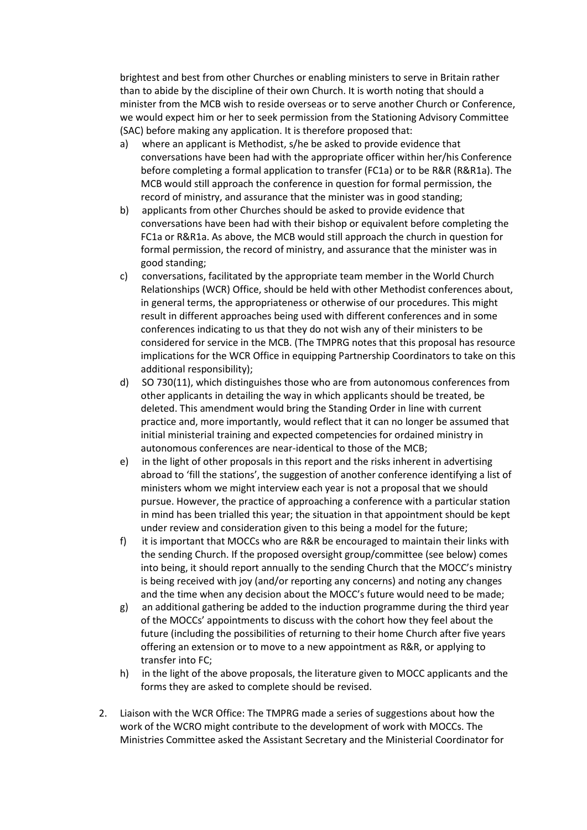brightest and best from other Churches or enabling ministers to serve in Britain rather than to abide by the discipline of their own Church. It is worth noting that should a minister from the MCB wish to reside overseas or to serve another Church or Conference, we would expect him or her to seek permission from the Stationing Advisory Committee (SAC) before making any application. It is therefore proposed that:

- a) where an applicant is Methodist, s/he be asked to provide evidence that conversations have been had with the appropriate officer within her/his Conference before completing a formal application to transfer (FC1a) or to be R&R (R&R1a). The MCB would still approach the conference in question for formal permission, the record of ministry, and assurance that the minister was in good standing;
- b) applicants from other Churches should be asked to provide evidence that conversations have been had with their bishop or equivalent before completing the FC1a or R&R1a. As above, the MCB would still approach the church in question for formal permission, the record of ministry, and assurance that the minister was in good standing;
- c) conversations, facilitated by the appropriate team member in the World Church Relationships (WCR) Office, should be held with other Methodist conferences about, in general terms, the appropriateness or otherwise of our procedures. This might result in different approaches being used with different conferences and in some conferences indicating to us that they do not wish any of their ministers to be considered for service in the MCB. (The TMPRG notes that this proposal has resource implications for the WCR Office in equipping Partnership Coordinators to take on this additional responsibility);
- d) SO 730(11), which distinguishes those who are from autonomous conferences from other applicants in detailing the way in which applicants should be treated, be deleted. This amendment would bring the Standing Order in line with current practice and, more importantly, would reflect that it can no longer be assumed that initial ministerial training and expected competencies for ordained ministry in autonomous conferences are near-identical to those of the MCB;
- e) in the light of other proposals in this report and the risks inherent in advertising abroad to 'fill the stations', the suggestion of another conference identifying a list of ministers whom we might interview each year is not a proposal that we should pursue. However, the practice of approaching a conference with a particular station in mind has been trialled this year; the situation in that appointment should be kept under review and consideration given to this being a model for the future;
- f) it is important that MOCCs who are R&R be encouraged to maintain their links with the sending Church. If the proposed oversight group/committee (see below) comes into being, it should report annually to the sending Church that the MOCC's ministry is being received with joy (and/or reporting any concerns) and noting any changes and the time when any decision about the MOCC's future would need to be made;
- g) an additional gathering be added to the induction programme during the third year of the MOCCs' appointments to discuss with the cohort how they feel about the future (including the possibilities of returning to their home Church after five years offering an extension or to move to a new appointment as R&R, or applying to transfer into FC;
- h) in the light of the above proposals, the literature given to MOCC applicants and the forms they are asked to complete should be revised.
- 2. Liaison with the WCR Office: The TMPRG made a series of suggestions about how the work of the WCRO might contribute to the development of work with MOCCs. The Ministries Committee asked the Assistant Secretary and the Ministerial Coordinator for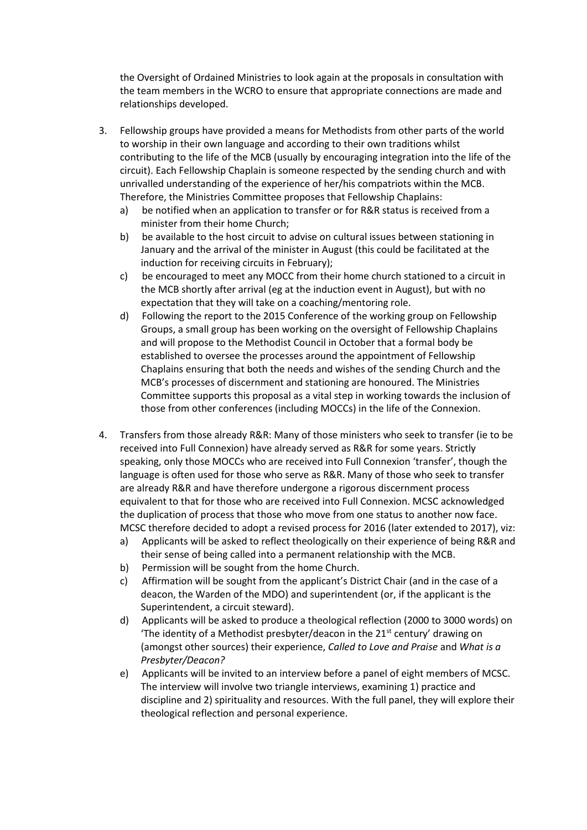the Oversight of Ordained Ministries to look again at the proposals in consultation with the team members in the WCRO to ensure that appropriate connections are made and relationships developed.

- 3. Fellowship groups have provided a means for Methodists from other parts of the world to worship in their own language and according to their own traditions whilst contributing to the life of the MCB (usually by encouraging integration into the life of the circuit). Each Fellowship Chaplain is someone respected by the sending church and with unrivalled understanding of the experience of her/his compatriots within the MCB. Therefore, the Ministries Committee proposes that Fellowship Chaplains:
	- a) be notified when an application to transfer or for R&R status is received from a minister from their home Church;
	- b) be available to the host circuit to advise on cultural issues between stationing in January and the arrival of the minister in August (this could be facilitated at the induction for receiving circuits in February);
	- c) be encouraged to meet any MOCC from their home church stationed to a circuit in the MCB shortly after arrival (eg at the induction event in August), but with no expectation that they will take on a coaching/mentoring role.
	- d) Following the report to the 2015 Conference of the working group on Fellowship Groups, a small group has been working on the oversight of Fellowship Chaplains and will propose to the Methodist Council in October that a formal body be established to oversee the processes around the appointment of Fellowship Chaplains ensuring that both the needs and wishes of the sending Church and the MCB's processes of discernment and stationing are honoured. The Ministries Committee supports this proposal as a vital step in working towards the inclusion of those from other conferences (including MOCCs) in the life of the Connexion.
- 4. Transfers from those already R&R: Many of those ministers who seek to transfer (ie to be received into Full Connexion) have already served as R&R for some years. Strictly speaking, only those MOCCs who are received into Full Connexion 'transfer', though the language is often used for those who serve as R&R. Many of those who seek to transfer are already R&R and have therefore undergone a rigorous discernment process equivalent to that for those who are received into Full Connexion. MCSC acknowledged the duplication of process that those who move from one status to another now face. MCSC therefore decided to adopt a revised process for 2016 (later extended to 2017), viz:
	- a) Applicants will be asked to reflect theologically on their experience of being R&R and their sense of being called into a permanent relationship with the MCB.
	- b) Permission will be sought from the home Church.
	- c) Affirmation will be sought from the applicant's District Chair (and in the case of a deacon, the Warden of the MDO) and superintendent (or, if the applicant is the Superintendent, a circuit steward).
	- d) Applicants will be asked to produce a theological reflection (2000 to 3000 words) on 'The identity of a Methodist presbyter/deacon in the  $21<sup>st</sup>$  century' drawing on (amongst other sources) their experience, *Called to Love and Praise* and *What is a Presbyter/Deacon?*
	- e) Applicants will be invited to an interview before a panel of eight members of MCSC. The interview will involve two triangle interviews, examining 1) practice and discipline and 2) spirituality and resources. With the full panel, they will explore their theological reflection and personal experience.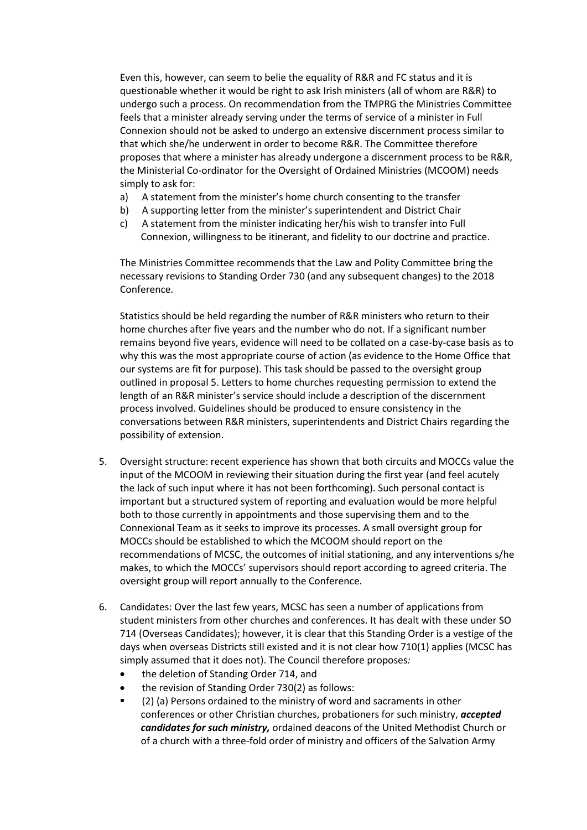Even this, however, can seem to belie the equality of R&R and FC status and it is questionable whether it would be right to ask Irish ministers (all of whom are R&R) to undergo such a process. On recommendation from the TMPRG the Ministries Committee feels that a minister already serving under the terms of service of a minister in Full Connexion should not be asked to undergo an extensive discernment process similar to that which she/he underwent in order to become R&R. The Committee therefore proposes that where a minister has already undergone a discernment process to be R&R, the Ministerial Co-ordinator for the Oversight of Ordained Ministries (MCOOM) needs simply to ask for:

- a) A statement from the minister's home church consenting to the transfer
- b) A supporting letter from the minister's superintendent and District Chair
- c) A statement from the minister indicating her/his wish to transfer into Full Connexion, willingness to be itinerant, and fidelity to our doctrine and practice.

The Ministries Committee recommends that the Law and Polity Committee bring the necessary revisions to Standing Order 730 (and any subsequent changes) to the 2018 Conference.

Statistics should be held regarding the number of R&R ministers who return to their home churches after five years and the number who do not. If a significant number remains beyond five years, evidence will need to be collated on a case-by-case basis as to why this was the most appropriate course of action (as evidence to the Home Office that our systems are fit for purpose). This task should be passed to the oversight group outlined in proposal 5. Letters to home churches requesting permission to extend the length of an R&R minister's service should include a description of the discernment process involved. Guidelines should be produced to ensure consistency in the conversations between R&R ministers, superintendents and District Chairs regarding the possibility of extension.

- 5. Oversight structure: recent experience has shown that both circuits and MOCCs value the input of the MCOOM in reviewing their situation during the first year (and feel acutely the lack of such input where it has not been forthcoming). Such personal contact is important but a structured system of reporting and evaluation would be more helpful both to those currently in appointments and those supervising them and to the Connexional Team as it seeks to improve its processes. A small oversight group for MOCCs should be established to which the MCOOM should report on the recommendations of MCSC, the outcomes of initial stationing, and any interventions s/he makes, to which the MOCCs' supervisors should report according to agreed criteria. The oversight group will report annually to the Conference.
- 6. Candidates: Over the last few years, MCSC has seen a number of applications from student ministers from other churches and conferences. It has dealt with these under SO 714 (Overseas Candidates); however, it is clear that this Standing Order is a vestige of the days when overseas Districts still existed and it is not clear how 710(1) applies (MCSC has simply assumed that it does not). The Council therefore proposes*:*
	- the deletion of Standing Order 714, and
	- the revision of Standing Order 730(2) as follows:
	- (2) (a) Persons ordained to the ministry of word and sacraments in other conferences or other Christian churches, probationers for such ministry, *accepted candidates for such ministry,* ordained deacons of the United Methodist Church or of a church with a three-fold order of ministry and officers of the Salvation Army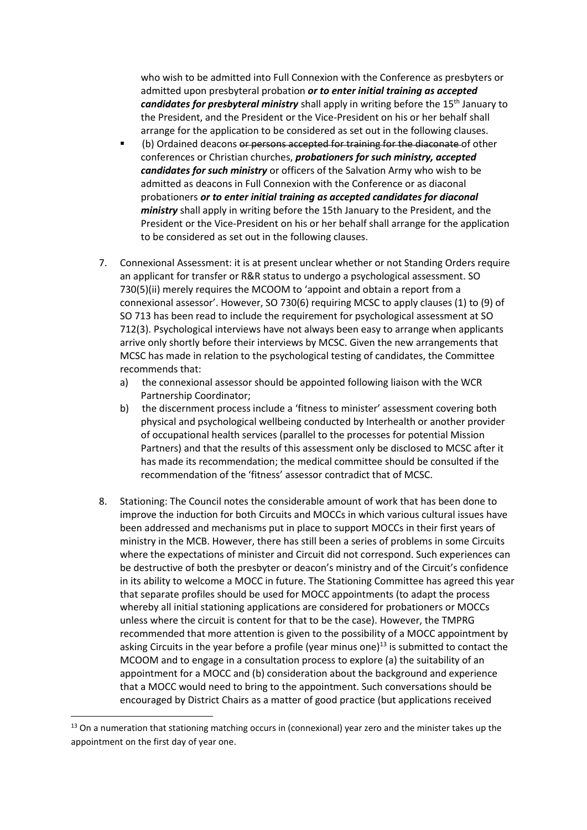who wish to be admitted into Full Connexion with the Conference as presbyters or admitted upon presbyteral probation *or to enter initial training as accepted candidates for presbyteral ministry* shall apply in writing before the 15<sup>th</sup> January to the President, and the President or the Vice-President on his or her behalf shall arrange for the application to be considered as set out in the following clauses.

- (b) Ordained deacons or persons accepted for training for the diaconate of other conferences or Christian churches, *probationers for such ministry, accepted candidates for such ministry* or officers of the Salvation Army who wish to be admitted as deacons in Full Connexion with the Conference or as diaconal probationers *or to enter initial training as accepted candidates for diaconal ministry* shall apply in writing before the 15th January to the President, and the President or the Vice-President on his or her behalf shall arrange for the application to be considered as set out in the following clauses.
- 7. Connexional Assessment: it is at present unclear whether or not Standing Orders require an applicant for transfer or R&R status to undergo a psychological assessment. SO 730(5)(ii) merely requires the MCOOM to 'appoint and obtain a report from a connexional assessor'. However, SO 730(6) requiring MCSC to apply clauses (1) to (9) of SO 713 has been read to include the requirement for psychological assessment at SO 712(3). Psychological interviews have not always been easy to arrange when applicants arrive only shortly before their interviews by MCSC. Given the new arrangements that MCSC has made in relation to the psychological testing of candidates, the Committee recommends that:
	- a) the connexional assessor should be appointed following liaison with the WCR Partnership Coordinator;
	- b) the discernment process include a 'fitness to minister' assessment covering both physical and psychological wellbeing conducted by Interhealth or another provider of occupational health services (parallel to the processes for potential Mission Partners) and that the results of this assessment only be disclosed to MCSC after it has made its recommendation; the medical committee should be consulted if the recommendation of the 'fitness' assessor contradict that of MCSC.
- 8. Stationing: The Council notes the considerable amount of work that has been done to improve the induction for both Circuits and MOCCs in which various cultural issues have been addressed and mechanisms put in place to support MOCCs in their first years of ministry in the MCB. However, there has still been a series of problems in some Circuits where the expectations of minister and Circuit did not correspond. Such experiences can be destructive of both the presbyter or deacon's ministry and of the Circuit's confidence in its ability to welcome a MOCC in future. The Stationing Committee has agreed this year that separate profiles should be used for MOCC appointments (to adapt the process whereby all initial stationing applications are considered for probationers or MOCCs unless where the circuit is content for that to be the case). However, the TMPRG recommended that more attention is given to the possibility of a MOCC appointment by asking Circuits in the year before a profile (year minus one) $^{13}$  is submitted to contact the MCOOM and to engage in a consultation process to explore (a) the suitability of an appointment for a MOCC and (b) consideration about the background and experience that a MOCC would need to bring to the appointment. Such conversations should be encouraged by District Chairs as a matter of good practice (but applications received

<sup>&</sup>lt;sup>13</sup> On a numeration that stationing matching occurs in (connexional) year zero and the minister takes up the appointment on the first day of year one.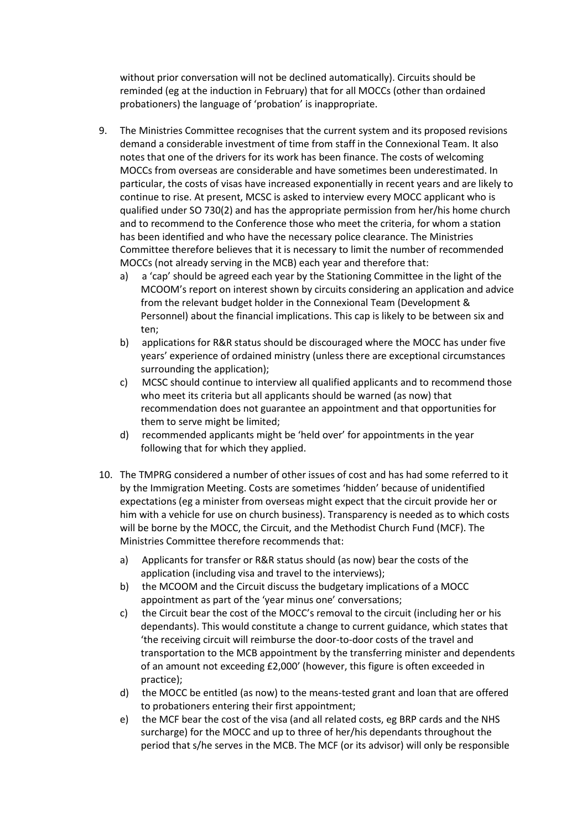without prior conversation will not be declined automatically). Circuits should be reminded (eg at the induction in February) that for all MOCCs (other than ordained probationers) the language of 'probation' is inappropriate.

- 9. The Ministries Committee recognises that the current system and its proposed revisions demand a considerable investment of time from staff in the Connexional Team. It also notes that one of the drivers for its work has been finance. The costs of welcoming MOCCs from overseas are considerable and have sometimes been underestimated. In particular, the costs of visas have increased exponentially in recent years and are likely to continue to rise. At present, MCSC is asked to interview every MOCC applicant who is qualified under SO 730(2) and has the appropriate permission from her/his home church and to recommend to the Conference those who meet the criteria, for whom a station has been identified and who have the necessary police clearance. The Ministries Committee therefore believes that it is necessary to limit the number of recommended MOCCs (not already serving in the MCB) each year and therefore that:
	- a) a 'cap' should be agreed each year by the Stationing Committee in the light of the MCOOM's report on interest shown by circuits considering an application and advice from the relevant budget holder in the Connexional Team (Development & Personnel) about the financial implications. This cap is likely to be between six and ten;
	- b) applications for R&R status should be discouraged where the MOCC has under five years' experience of ordained ministry (unless there are exceptional circumstances surrounding the application);
	- c) MCSC should continue to interview all qualified applicants and to recommend those who meet its criteria but all applicants should be warned (as now) that recommendation does not guarantee an appointment and that opportunities for them to serve might be limited;
	- d) recommended applicants might be 'held over' for appointments in the year following that for which they applied.
- 10. The TMPRG considered a number of other issues of cost and has had some referred to it by the Immigration Meeting. Costs are sometimes 'hidden' because of unidentified expectations (eg a minister from overseas might expect that the circuit provide her or him with a vehicle for use on church business). Transparency is needed as to which costs will be borne by the MOCC, the Circuit, and the Methodist Church Fund (MCF). The Ministries Committee therefore recommends that:
	- a) Applicants for transfer or R&R status should (as now) bear the costs of the application (including visa and travel to the interviews);
	- b) the MCOOM and the Circuit discuss the budgetary implications of a MOCC appointment as part of the 'year minus one' conversations;
	- c) the Circuit bear the cost of the MOCC's removal to the circuit (including her or his dependants). This would constitute a change to current guidance, which states that 'the receiving circuit will reimburse the door-to-door costs of the travel and transportation to the MCB appointment by the transferring minister and dependents of an amount not exceeding £2,000' (however, this figure is often exceeded in practice);
	- d) the MOCC be entitled (as now) to the means-tested grant and loan that are offered to probationers entering their first appointment;
	- e) the MCF bear the cost of the visa (and all related costs, eg BRP cards and the NHS surcharge) for the MOCC and up to three of her/his dependants throughout the period that s/he serves in the MCB. The MCF (or its advisor) will only be responsible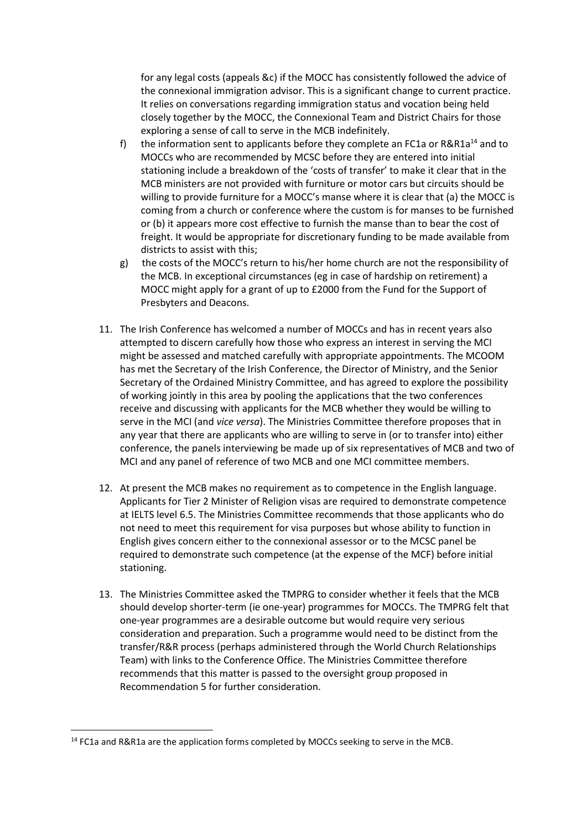for any legal costs (appeals &c) if the MOCC has consistently followed the advice of the connexional immigration advisor. This is a significant change to current practice. It relies on conversations regarding immigration status and vocation being held closely together by the MOCC, the Connexional Team and District Chairs for those exploring a sense of call to serve in the MCB indefinitely.

- f) the information sent to applicants before they complete an FC1a or  $R\&R1a^{14}$  and to MOCCs who are recommended by MCSC before they are entered into initial stationing include a breakdown of the 'costs of transfer' to make it clear that in the MCB ministers are not provided with furniture or motor cars but circuits should be willing to provide furniture for a MOCC's manse where it is clear that (a) the MOCC is coming from a church or conference where the custom is for manses to be furnished or (b) it appears more cost effective to furnish the manse than to bear the cost of freight. It would be appropriate for discretionary funding to be made available from districts to assist with this;
- g) the costs of the MOCC's return to his/her home church are not the responsibility of the MCB. In exceptional circumstances (eg in case of hardship on retirement) a MOCC might apply for a grant of up to £2000 from the Fund for the Support of Presbyters and Deacons.
- 11. The Irish Conference has welcomed a number of MOCCs and has in recent years also attempted to discern carefully how those who express an interest in serving the MCI might be assessed and matched carefully with appropriate appointments. The MCOOM has met the Secretary of the Irish Conference, the Director of Ministry, and the Senior Secretary of the Ordained Ministry Committee, and has agreed to explore the possibility of working jointly in this area by pooling the applications that the two conferences receive and discussing with applicants for the MCB whether they would be willing to serve in the MCI (and *vice versa*). The Ministries Committee therefore proposes that in any year that there are applicants who are willing to serve in (or to transfer into) either conference, the panels interviewing be made up of six representatives of MCB and two of MCI and any panel of reference of two MCB and one MCI committee members.
- 12. At present the MCB makes no requirement as to competence in the English language. Applicants for Tier 2 Minister of Religion visas are required to demonstrate competence at IELTS level 6.5. The Ministries Committee recommends that those applicants who do not need to meet this requirement for visa purposes but whose ability to function in English gives concern either to the connexional assessor or to the MCSC panel be required to demonstrate such competence (at the expense of the MCF) before initial stationing.
- 13. The Ministries Committee asked the TMPRG to consider whether it feels that the MCB should develop shorter-term (ie one-year) programmes for MOCCs. The TMPRG felt that one-year programmes are a desirable outcome but would require very serious consideration and preparation. Such a programme would need to be distinct from the transfer/R&R process (perhaps administered through the World Church Relationships Team) with links to the Conference Office. The Ministries Committee therefore recommends that this matter is passed to the oversight group proposed in Recommendation 5 for further consideration.

 $14$  FC1a and R&R1a are the application forms completed by MOCCs seeking to serve in the MCB.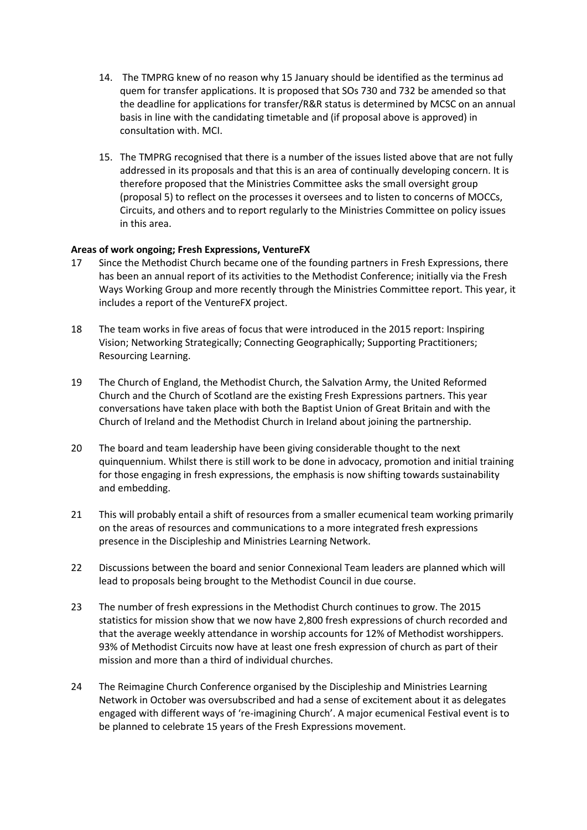- 14. The TMPRG knew of no reason why 15 January should be identified as the terminus ad quem for transfer applications. It is proposed that SOs 730 and 732 be amended so that the deadline for applications for transfer/R&R status is determined by MCSC on an annual basis in line with the candidating timetable and (if proposal above is approved) in consultation with. MCI.
- 15. The TMPRG recognised that there is a number of the issues listed above that are not fully addressed in its proposals and that this is an area of continually developing concern. It is therefore proposed that the Ministries Committee asks the small oversight group (proposal 5) to reflect on the processes it oversees and to listen to concerns of MOCCs, Circuits, and others and to report regularly to the Ministries Committee on policy issues in this area.

### **Areas of work ongoing; Fresh Expressions, VentureFX**

- 17 Since the Methodist Church became one of the founding partners in Fresh Expressions, there has been an annual report of its activities to the Methodist Conference; initially via the Fresh Ways Working Group and more recently through the Ministries Committee report. This year, it includes a report of the VentureFX project.
- 18 The team works in five areas of focus that were introduced in the 2015 report: Inspiring Vision; Networking Strategically; Connecting Geographically; Supporting Practitioners; Resourcing Learning.
- 19 The Church of England, the Methodist Church, the Salvation Army, the United Reformed Church and the Church of Scotland are the existing Fresh Expressions partners. This year conversations have taken place with both the Baptist Union of Great Britain and with the Church of Ireland and the Methodist Church in Ireland about joining the partnership.
- 20 The board and team leadership have been giving considerable thought to the next quinquennium. Whilst there is still work to be done in advocacy, promotion and initial training for those engaging in fresh expressions, the emphasis is now shifting towards sustainability and embedding.
- 21 This will probably entail a shift of resources from a smaller ecumenical team working primarily on the areas of resources and communications to a more integrated fresh expressions presence in the Discipleship and Ministries Learning Network.
- 22 Discussions between the board and senior Connexional Team leaders are planned which will lead to proposals being brought to the Methodist Council in due course.
- 23 The number of fresh expressions in the Methodist Church continues to grow. The 2015 statistics for mission show that we now have 2,800 fresh expressions of church recorded and that the average weekly attendance in worship accounts for 12% of Methodist worshippers. 93% of Methodist Circuits now have at least one fresh expression of church as part of their mission and more than a third of individual churches.
- 24 The Reimagine Church Conference organised by the Discipleship and Ministries Learning Network in October was oversubscribed and had a sense of excitement about it as delegates engaged with different ways of 're-imagining Church'. A major ecumenical Festival event is to be planned to celebrate 15 years of the Fresh Expressions movement.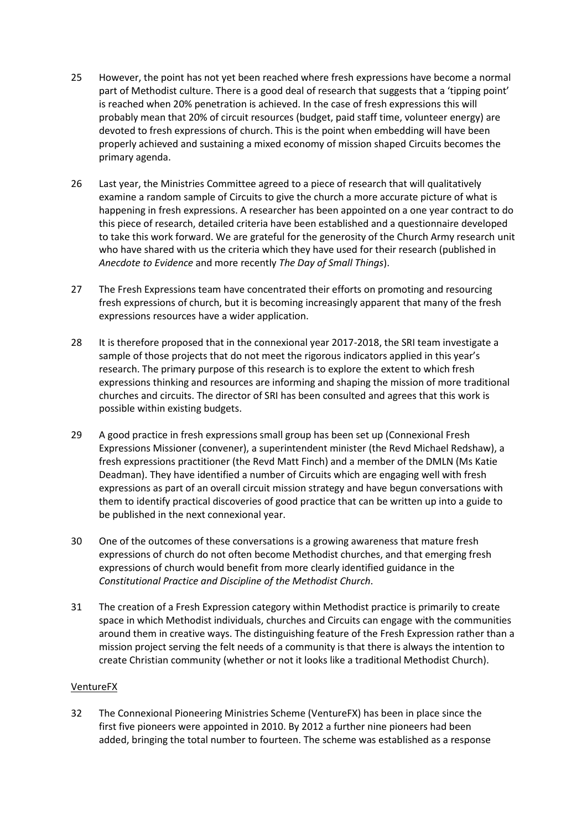- 25 However, the point has not yet been reached where fresh expressions have become a normal part of Methodist culture. There is a good deal of research that suggests that a 'tipping point' is reached when 20% penetration is achieved. In the case of fresh expressions this will probably mean that 20% of circuit resources (budget, paid staff time, volunteer energy) are devoted to fresh expressions of church. This is the point when embedding will have been properly achieved and sustaining a mixed economy of mission shaped Circuits becomes the primary agenda.
- 26 Last year, the Ministries Committee agreed to a piece of research that will qualitatively examine a random sample of Circuits to give the church a more accurate picture of what is happening in fresh expressions. A researcher has been appointed on a one year contract to do this piece of research, detailed criteria have been established and a questionnaire developed to take this work forward. We are grateful for the generosity of the Church Army research unit who have shared with us the criteria which they have used for their research (published in *Anecdote to Evidence* and more recently *The Day of Small Things*).
- 27 The Fresh Expressions team have concentrated their efforts on promoting and resourcing fresh expressions of church, but it is becoming increasingly apparent that many of the fresh expressions resources have a wider application.
- 28 It is therefore proposed that in the connexional year 2017-2018, the SRI team investigate a sample of those projects that do not meet the rigorous indicators applied in this year's research. The primary purpose of this research is to explore the extent to which fresh expressions thinking and resources are informing and shaping the mission of more traditional churches and circuits. The director of SRI has been consulted and agrees that this work is possible within existing budgets.
- 29 A good practice in fresh expressions small group has been set up (Connexional Fresh Expressions Missioner (convener), a superintendent minister (the Revd Michael Redshaw), a fresh expressions practitioner (the Revd Matt Finch) and a member of the DMLN (Ms Katie Deadman). They have identified a number of Circuits which are engaging well with fresh expressions as part of an overall circuit mission strategy and have begun conversations with them to identify practical discoveries of good practice that can be written up into a guide to be published in the next connexional year.
- 30 One of the outcomes of these conversations is a growing awareness that mature fresh expressions of church do not often become Methodist churches, and that emerging fresh expressions of church would benefit from more clearly identified guidance in the *Constitutional Practice and Discipline of the Methodist Church*.
- 31 The creation of a Fresh Expression category within Methodist practice is primarily to create space in which Methodist individuals, churches and Circuits can engage with the communities around them in creative ways. The distinguishing feature of the Fresh Expression rather than a mission project serving the felt needs of a community is that there is always the intention to create Christian community (whether or not it looks like a traditional Methodist Church).

## VentureFX

32 The Connexional Pioneering Ministries Scheme (VentureFX) has been in place since the first five pioneers were appointed in 2010. By 2012 a further nine pioneers had been added, bringing the total number to fourteen. The scheme was established as a response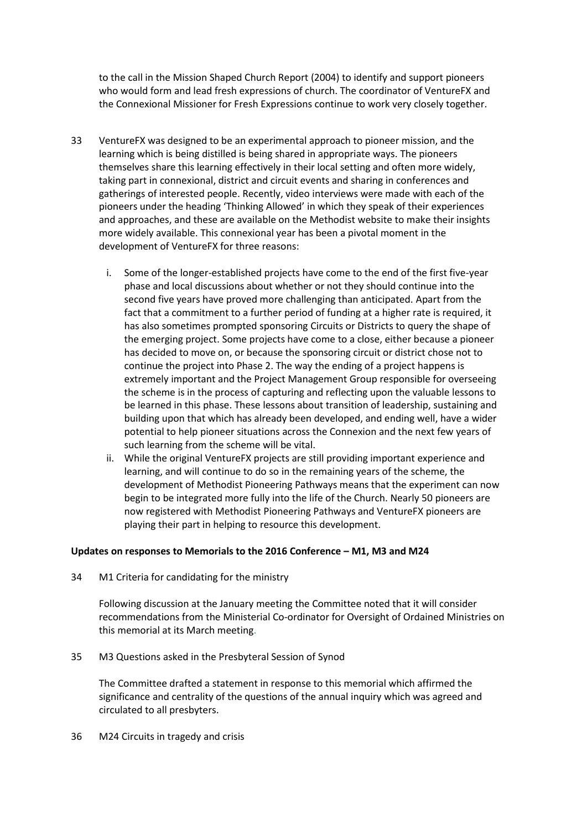to the call in the Mission Shaped Church Report (2004) to identify and support pioneers who would form and lead fresh expressions of church. The coordinator of VentureFX and the Connexional Missioner for Fresh Expressions continue to work very closely together.

- 33 VentureFX was designed to be an experimental approach to pioneer mission, and the learning which is being distilled is being shared in appropriate ways. The pioneers themselves share this learning effectively in their local setting and often more widely, taking part in connexional, district and circuit events and sharing in conferences and gatherings of interested people. Recently, video interviews were made with each of the pioneers under the heading 'Thinking Allowed' in which they speak of their experiences and approaches, and these are available on the Methodist website to make their insights more widely available. This connexional year has been a pivotal moment in the development of VentureFX for three reasons:
	- i. Some of the longer-established projects have come to the end of the first five-year phase and local discussions about whether or not they should continue into the second five years have proved more challenging than anticipated. Apart from the fact that a commitment to a further period of funding at a higher rate is required, it has also sometimes prompted sponsoring Circuits or Districts to query the shape of the emerging project. Some projects have come to a close, either because a pioneer has decided to move on, or because the sponsoring circuit or district chose not to continue the project into Phase 2. The way the ending of a project happens is extremely important and the Project Management Group responsible for overseeing the scheme is in the process of capturing and reflecting upon the valuable lessons to be learned in this phase. These lessons about transition of leadership, sustaining and building upon that which has already been developed, and ending well, have a wider potential to help pioneer situations across the Connexion and the next few years of such learning from the scheme will be vital.
	- ii. While the original VentureFX projects are still providing important experience and learning, and will continue to do so in the remaining years of the scheme, the development of Methodist Pioneering Pathways means that the experiment can now begin to be integrated more fully into the life of the Church. Nearly 50 pioneers are now registered with Methodist Pioneering Pathways and VentureFX pioneers are playing their part in helping to resource this development.

#### **Updates on responses to Memorials to the 2016 Conference – M1, M3 and M24**

34 M1 Criteria for candidating for the ministry

Following discussion at the January meeting the Committee noted that it will consider recommendations from the Ministerial Co-ordinator for Oversight of Ordained Ministries on this memorial at its March meeting.

35 M3 Questions asked in the Presbyteral Session of Synod

The Committee drafted a statement in response to this memorial which affirmed the significance and centrality of the questions of the annual inquiry which was agreed and circulated to all presbyters.

36 M24 Circuits in tragedy and crisis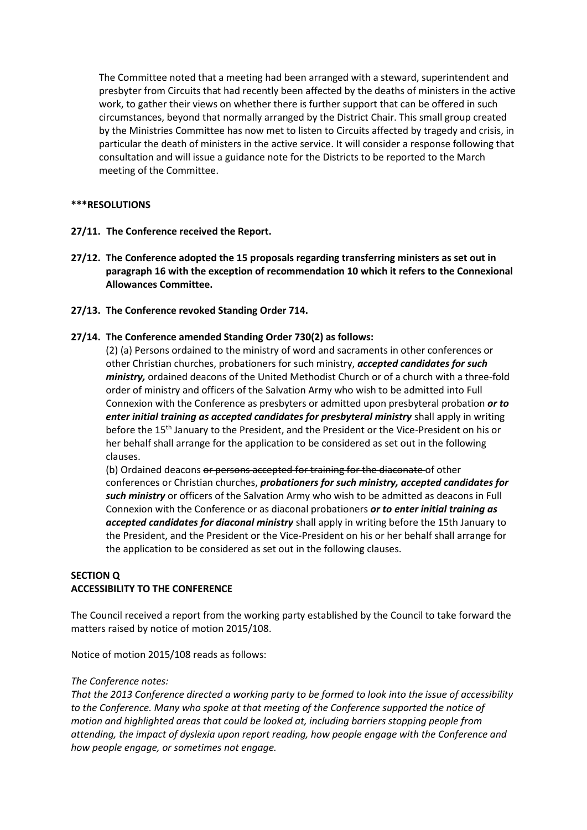The Committee noted that a meeting had been arranged with a steward, superintendent and presbyter from Circuits that had recently been affected by the deaths of ministers in the active work, to gather their views on whether there is further support that can be offered in such circumstances, beyond that normally arranged by the District Chair. This small group created by the Ministries Committee has now met to listen to Circuits affected by tragedy and crisis, in particular the death of ministers in the active service. It will consider a response following that consultation and will issue a guidance note for the Districts to be reported to the March meeting of the Committee.

#### **\*\*\*RESOLUTIONS**

- **27/11. The Conference received the Report.**
- **27/12. The Conference adopted the 15 proposals regarding transferring ministers as set out in paragraph 16 with the exception of recommendation 10 which it refers to the Connexional Allowances Committee.**
- **27/13. The Conference revoked Standing Order 714.**

### **27/14. The Conference amended Standing Order 730(2) as follows:**

(2) (a) Persons ordained to the ministry of word and sacraments in other conferences or other Christian churches, probationers for such ministry, *accepted candidates for such ministry,* ordained deacons of the United Methodist Church or of a church with a three-fold order of ministry and officers of the Salvation Army who wish to be admitted into Full Connexion with the Conference as presbyters or admitted upon presbyteral probation *or to enter initial training as accepted candidates for presbyteral ministry* shall apply in writing before the 15th January to the President, and the President or the Vice-President on his or her behalf shall arrange for the application to be considered as set out in the following clauses.

(b) Ordained deacons or persons accepted for training for the diaconate of other conferences or Christian churches, *probationers for such ministry, accepted candidates for such ministry* or officers of the Salvation Army who wish to be admitted as deacons in Full Connexion with the Conference or as diaconal probationers *or to enter initial training as accepted candidates for diaconal ministry* shall apply in writing before the 15th January to the President, and the President or the Vice-President on his or her behalf shall arrange for the application to be considered as set out in the following clauses.

## **SECTION Q ACCESSIBILITY TO THE CONFERENCE**

The Council received a report from the working party established by the Council to take forward the matters raised by notice of motion 2015/108.

Notice of motion 2015/108 reads as follows:

#### *The Conference notes:*

*That the 2013 Conference directed a working party to be formed to look into the issue of accessibility to the Conference. Many who spoke at that meeting of the Conference supported the notice of motion and highlighted areas that could be looked at, including barriers stopping people from attending, the impact of dyslexia upon report reading, how people engage with the Conference and how people engage, or sometimes not engage.*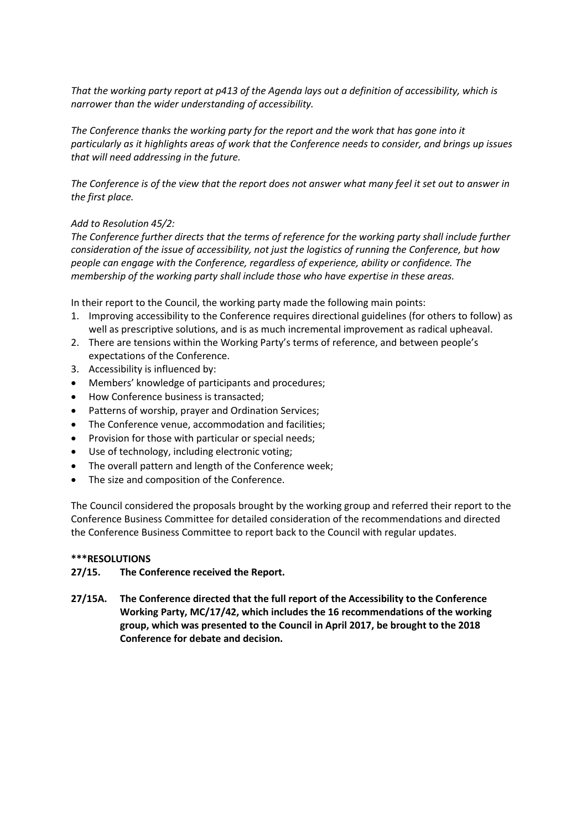*That the working party report at p413 of the Agenda lays out a definition of accessibility, which is narrower than the wider understanding of accessibility.*

*The Conference thanks the working party for the report and the work that has gone into it particularly as it highlights areas of work that the Conference needs to consider, and brings up issues that will need addressing in the future.*

*The Conference is of the view that the report does not answer what many feel it set out to answer in the first place.*

#### *Add to Resolution 45/2:*

*The Conference further directs that the terms of reference for the working party shall include further consideration of the issue of accessibility, not just the logistics of running the Conference, but how people can engage with the Conference, regardless of experience, ability or confidence. The membership of the working party shall include those who have expertise in these areas.*

In their report to the Council, the working party made the following main points:

- 1. Improving accessibility to the Conference requires directional guidelines (for others to follow) as well as prescriptive solutions, and is as much incremental improvement as radical upheaval.
- 2. There are tensions within the Working Party's terms of reference, and between people's expectations of the Conference.
- 3. Accessibility is influenced by:
- Members' knowledge of participants and procedures;
- How Conference business is transacted:
- Patterns of worship, prayer and Ordination Services;
- The Conference venue, accommodation and facilities;
- Provision for those with particular or special needs;
- Use of technology, including electronic voting;
- The overall pattern and length of the Conference week;
- The size and composition of the Conference.

The Council considered the proposals brought by the working group and referred their report to the Conference Business Committee for detailed consideration of the recommendations and directed the Conference Business Committee to report back to the Council with regular updates.

#### **\*\*\*RESOLUTIONS**

#### **27/15. The Conference received the Report.**

**27/15A. The Conference directed that the full report of the Accessibility to the Conference Working Party, MC/17/42, which includes the 16 recommendations of the working group, which was presented to the Council in April 2017, be brought to the 2018 Conference for debate and decision.**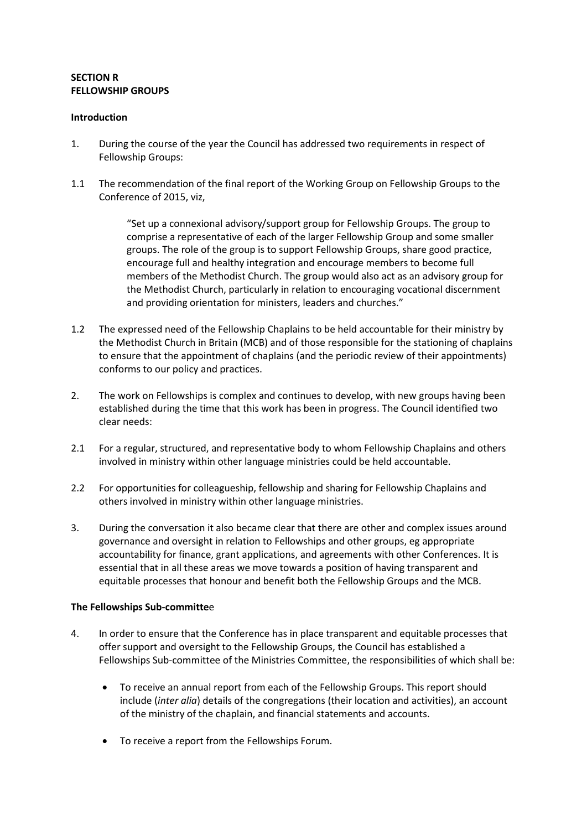#### **SECTION R FELLOWSHIP GROUPS**

#### **Introduction**

- 1. During the course of the year the Council has addressed two requirements in respect of Fellowship Groups:
- 1.1 The recommendation of the final report of the Working Group on Fellowship Groups to the Conference of 2015, viz,

"Set up a connexional advisory/support group for Fellowship Groups. The group to comprise a representative of each of the larger Fellowship Group and some smaller groups. The role of the group is to support Fellowship Groups, share good practice, encourage full and healthy integration and encourage members to become full members of the Methodist Church. The group would also act as an advisory group for the Methodist Church, particularly in relation to encouraging vocational discernment and providing orientation for ministers, leaders and churches."

- 1.2 The expressed need of the Fellowship Chaplains to be held accountable for their ministry by the Methodist Church in Britain (MCB) and of those responsible for the stationing of chaplains to ensure that the appointment of chaplains (and the periodic review of their appointments) conforms to our policy and practices.
- 2. The work on Fellowships is complex and continues to develop, with new groups having been established during the time that this work has been in progress. The Council identified two clear needs:
- 2.1 For a regular, structured, and representative body to whom Fellowship Chaplains and others involved in ministry within other language ministries could be held accountable.
- 2.2 For opportunities for colleagueship, fellowship and sharing for Fellowship Chaplains and others involved in ministry within other language ministries.
- 3. During the conversation it also became clear that there are other and complex issues around governance and oversight in relation to Fellowships and other groups, eg appropriate accountability for finance, grant applications, and agreements with other Conferences. It is essential that in all these areas we move towards a position of having transparent and equitable processes that honour and benefit both the Fellowship Groups and the MCB.

#### **The Fellowships Sub-committe**e

- 4. In order to ensure that the Conference has in place transparent and equitable processes that offer support and oversight to the Fellowship Groups, the Council has established a Fellowships Sub-committee of the Ministries Committee, the responsibilities of which shall be:
	- To receive an annual report from each of the Fellowship Groups. This report should include (*inter alia*) details of the congregations (their location and activities), an account of the ministry of the chaplain, and financial statements and accounts.
	- To receive a report from the Fellowships Forum.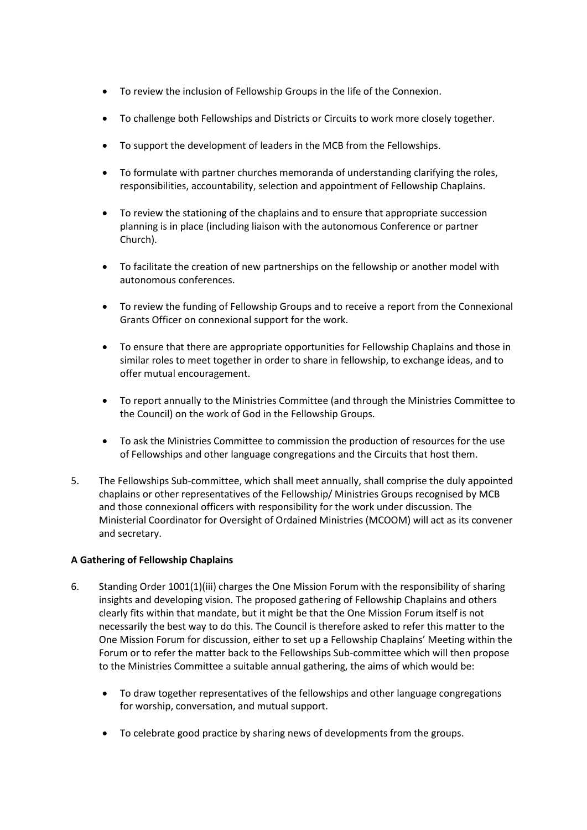- To review the inclusion of Fellowship Groups in the life of the Connexion.
- To challenge both Fellowships and Districts or Circuits to work more closely together.
- To support the development of leaders in the MCB from the Fellowships.
- To formulate with partner churches memoranda of understanding clarifying the roles, responsibilities, accountability, selection and appointment of Fellowship Chaplains.
- To review the stationing of the chaplains and to ensure that appropriate succession planning is in place (including liaison with the autonomous Conference or partner Church).
- To facilitate the creation of new partnerships on the fellowship or another model with autonomous conferences.
- To review the funding of Fellowship Groups and to receive a report from the Connexional Grants Officer on connexional support for the work.
- To ensure that there are appropriate opportunities for Fellowship Chaplains and those in similar roles to meet together in order to share in fellowship, to exchange ideas, and to offer mutual encouragement.
- To report annually to the Ministries Committee (and through the Ministries Committee to the Council) on the work of God in the Fellowship Groups.
- To ask the Ministries Committee to commission the production of resources for the use of Fellowships and other language congregations and the Circuits that host them.
- 5. The Fellowships Sub-committee, which shall meet annually, shall comprise the duly appointed chaplains or other representatives of the Fellowship/ Ministries Groups recognised by MCB and those connexional officers with responsibility for the work under discussion. The Ministerial Coordinator for Oversight of Ordained Ministries (MCOOM) will act as its convener and secretary.

## **A Gathering of Fellowship Chaplains**

- 6. Standing Order 1001(1)(iii) charges the One Mission Forum with the responsibility of sharing insights and developing vision. The proposed gathering of Fellowship Chaplains and others clearly fits within that mandate, but it might be that the One Mission Forum itself is not necessarily the best way to do this. The Council is therefore asked to refer this matter to the One Mission Forum for discussion, either to set up a Fellowship Chaplains' Meeting within the Forum or to refer the matter back to the Fellowships Sub-committee which will then propose to the Ministries Committee a suitable annual gathering, the aims of which would be:
	- To draw together representatives of the fellowships and other language congregations for worship, conversation, and mutual support.
	- To celebrate good practice by sharing news of developments from the groups.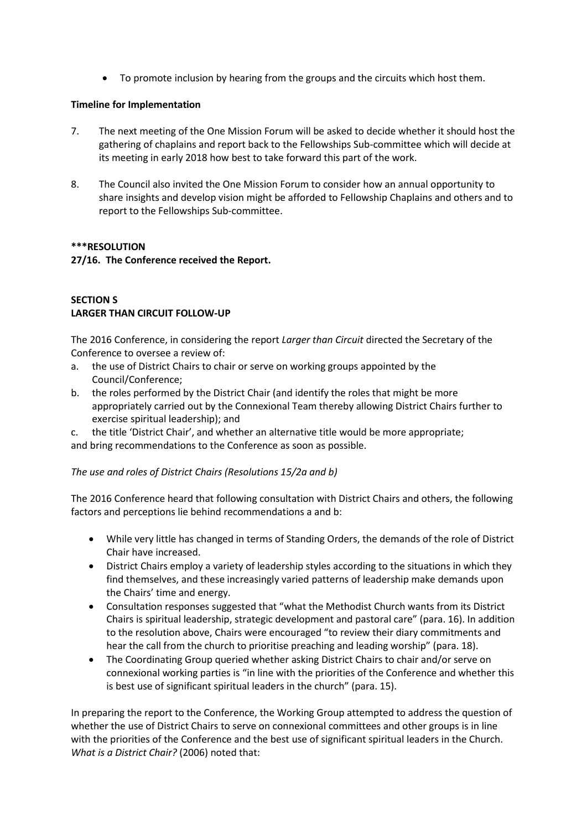To promote inclusion by hearing from the groups and the circuits which host them.

## **Timeline for Implementation**

- 7. The next meeting of the One Mission Forum will be asked to decide whether it should host the gathering of chaplains and report back to the Fellowships Sub-committee which will decide at its meeting in early 2018 how best to take forward this part of the work.
- 8. The Council also invited the One Mission Forum to consider how an annual opportunity to share insights and develop vision might be afforded to Fellowship Chaplains and others and to report to the Fellowships Sub-committee.

### **\*\*\*RESOLUTION**

**27/16. The Conference received the Report.**

## **SECTION S LARGER THAN CIRCUIT FOLLOW-UP**

The 2016 Conference, in considering the report *Larger than Circuit* directed the Secretary of the Conference to oversee a review of:

- a. the use of District Chairs to chair or serve on working groups appointed by the Council/Conference;
- b. the roles performed by the District Chair (and identify the roles that might be more appropriately carried out by the Connexional Team thereby allowing District Chairs further to exercise spiritual leadership); and
- c. the title 'District Chair', and whether an alternative title would be more appropriate;

and bring recommendations to the Conference as soon as possible.

## *The use and roles of District Chairs (Resolutions 15/2a and b)*

The 2016 Conference heard that following consultation with District Chairs and others, the following factors and perceptions lie behind recommendations a and b:

- While very little has changed in terms of Standing Orders, the demands of the role of District Chair have increased.
- District Chairs employ a variety of leadership styles according to the situations in which they find themselves, and these increasingly varied patterns of leadership make demands upon the Chairs' time and energy.
- Consultation responses suggested that "what the Methodist Church wants from its District Chairs is spiritual leadership, strategic development and pastoral care" (para. 16). In addition to the resolution above, Chairs were encouraged "to review their diary commitments and hear the call from the church to prioritise preaching and leading worship" (para. 18).
- The Coordinating Group queried whether asking District Chairs to chair and/or serve on connexional working parties is "in line with the priorities of the Conference and whether this is best use of significant spiritual leaders in the church" (para. 15).

In preparing the report to the Conference, the Working Group attempted to address the question of whether the use of District Chairs to serve on connexional committees and other groups is in line with the priorities of the Conference and the best use of significant spiritual leaders in the Church. *What is a District Chair?* (2006) noted that: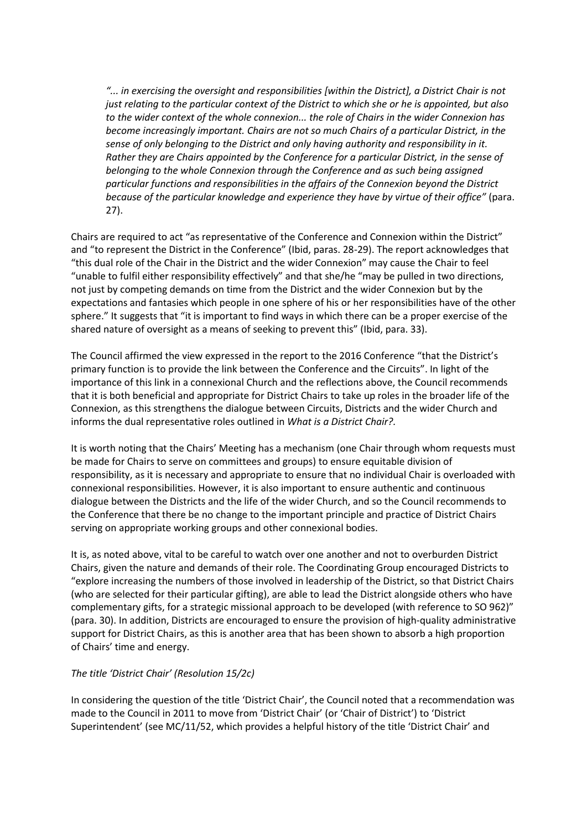*"... in exercising the oversight and responsibilities [within the District], a District Chair is not just relating to the particular context of the District to which she or he is appointed, but also to the wider context of the whole connexion... the role of Chairs in the wider Connexion has become increasingly important. Chairs are not so much Chairs of a particular District, in the sense of only belonging to the District and only having authority and responsibility in it. Rather they are Chairs appointed by the Conference for a particular District, in the sense of belonging to the whole Connexion through the Conference and as such being assigned particular functions and responsibilities in the affairs of the Connexion beyond the District because of the particular knowledge and experience they have by virtue of their office"* (para. 27).

Chairs are required to act "as representative of the Conference and Connexion within the District" and "to represent the District in the Conference" (Ibid, paras. 28-29). The report acknowledges that "this dual role of the Chair in the District and the wider Connexion" may cause the Chair to feel "unable to fulfil either responsibility effectively" and that she/he "may be pulled in two directions, not just by competing demands on time from the District and the wider Connexion but by the expectations and fantasies which people in one sphere of his or her responsibilities have of the other sphere." It suggests that "it is important to find ways in which there can be a proper exercise of the shared nature of oversight as a means of seeking to prevent this" (Ibid, para. 33).

The Council affirmed the view expressed in the report to the 2016 Conference "that the District's primary function is to provide the link between the Conference and the Circuits". In light of the importance of this link in a connexional Church and the reflections above, the Council recommends that it is both beneficial and appropriate for District Chairs to take up roles in the broader life of the Connexion, as this strengthens the dialogue between Circuits, Districts and the wider Church and informs the dual representative roles outlined in *What is a District Chair?.*

It is worth noting that the Chairs' Meeting has a mechanism (one Chair through whom requests must be made for Chairs to serve on committees and groups) to ensure equitable division of responsibility, as it is necessary and appropriate to ensure that no individual Chair is overloaded with connexional responsibilities. However, it is also important to ensure authentic and continuous dialogue between the Districts and the life of the wider Church, and so the Council recommends to the Conference that there be no change to the important principle and practice of District Chairs serving on appropriate working groups and other connexional bodies.

It is, as noted above, vital to be careful to watch over one another and not to overburden District Chairs, given the nature and demands of their role. The Coordinating Group encouraged Districts to "explore increasing the numbers of those involved in leadership of the District, so that District Chairs (who are selected for their particular gifting), are able to lead the District alongside others who have complementary gifts, for a strategic missional approach to be developed (with reference to SO 962)" (para. 30). In addition, Districts are encouraged to ensure the provision of high-quality administrative support for District Chairs, as this is another area that has been shown to absorb a high proportion of Chairs' time and energy.

#### *The title 'District Chair' (Resolution 15/2c)*

In considering the question of the title 'District Chair', the Council noted that a recommendation was made to the Council in 2011 to move from 'District Chair' (or 'Chair of District') to 'District Superintendent' (see MC/11/52, which provides a helpful history of the title 'District Chair' and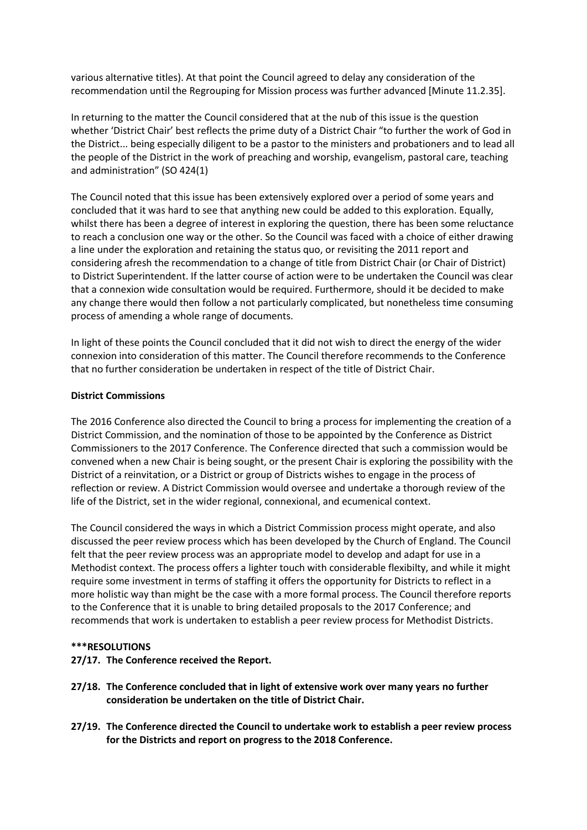various alternative titles). At that point the Council agreed to delay any consideration of the recommendation until the Regrouping for Mission process was further advanced [Minute 11.2.35].

In returning to the matter the Council considered that at the nub of this issue is the question whether 'District Chair' best reflects the prime duty of a District Chair "to further the work of God in the District... being especially diligent to be a pastor to the ministers and probationers and to lead all the people of the District in the work of preaching and worship, evangelism, pastoral care, teaching and administration" (SO 424(1)

The Council noted that this issue has been extensively explored over a period of some years and concluded that it was hard to see that anything new could be added to this exploration. Equally, whilst there has been a degree of interest in exploring the question, there has been some reluctance to reach a conclusion one way or the other. So the Council was faced with a choice of either drawing a line under the exploration and retaining the status quo, or revisiting the 2011 report and considering afresh the recommendation to a change of title from District Chair (or Chair of District) to District Superintendent. If the latter course of action were to be undertaken the Council was clear that a connexion wide consultation would be required. Furthermore, should it be decided to make any change there would then follow a not particularly complicated, but nonetheless time consuming process of amending a whole range of documents.

In light of these points the Council concluded that it did not wish to direct the energy of the wider connexion into consideration of this matter. The Council therefore recommends to the Conference that no further consideration be undertaken in respect of the title of District Chair.

### **District Commissions**

The 2016 Conference also directed the Council to bring a process for implementing the creation of a District Commission, and the nomination of those to be appointed by the Conference as District Commissioners to the 2017 Conference. The Conference directed that such a commission would be convened when a new Chair is being sought, or the present Chair is exploring the possibility with the District of a reinvitation, or a District or group of Districts wishes to engage in the process of reflection or review. A District Commission would oversee and undertake a thorough review of the life of the District, set in the wider regional, connexional, and ecumenical context.

The Council considered the ways in which a District Commission process might operate, and also discussed the peer review process which has been developed by the Church of England. The Council felt that the peer review process was an appropriate model to develop and adapt for use in a Methodist context. The process offers a lighter touch with considerable flexibilty, and while it might require some investment in terms of staffing it offers the opportunity for Districts to reflect in a more holistic way than might be the case with a more formal process. The Council therefore reports to the Conference that it is unable to bring detailed proposals to the 2017 Conference; and recommends that work is undertaken to establish a peer review process for Methodist Districts.

#### **\*\*\*RESOLUTIONS**

#### **27/17. The Conference received the Report.**

- **27/18. The Conference concluded that in light of extensive work over many years no further consideration be undertaken on the title of District Chair.**
- **27/19. The Conference directed the Council to undertake work to establish a peer review process for the Districts and report on progress to the 2018 Conference.**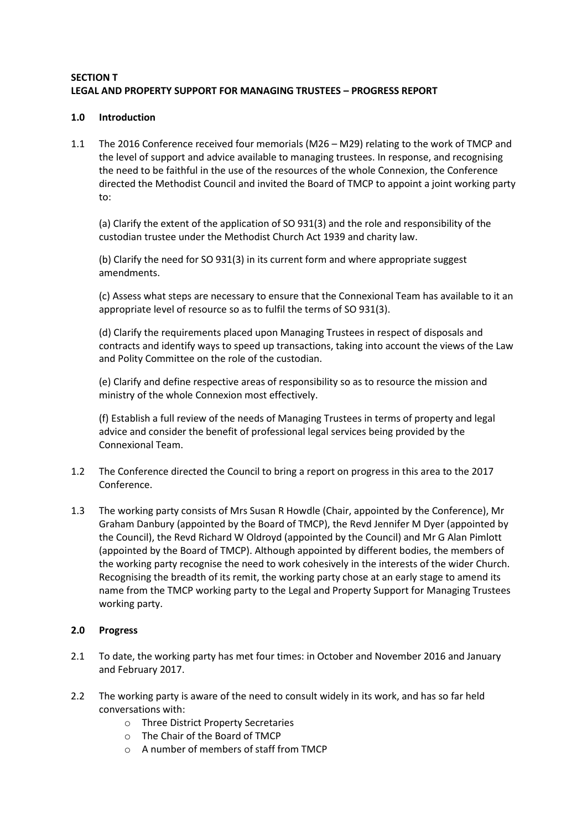## **SECTION T LEGAL AND PROPERTY SUPPORT FOR MANAGING TRUSTEES – PROGRESS REPORT**

### **1.0 Introduction**

1.1 The 2016 Conference received four memorials (M26 – M29) relating to the work of TMCP and the level of support and advice available to managing trustees. In response, and recognising the need to be faithful in the use of the resources of the whole Connexion, the Conference directed the Methodist Council and invited the Board of TMCP to appoint a joint working party to:

(a) Clarify the extent of the application of SO 931(3) and the role and responsibility of the custodian trustee under the Methodist Church Act 1939 and charity law.

(b) Clarify the need for SO 931(3) in its current form and where appropriate suggest amendments.

(c) Assess what steps are necessary to ensure that the Connexional Team has available to it an appropriate level of resource so as to fulfil the terms of SO 931(3).

(d) Clarify the requirements placed upon Managing Trustees in respect of disposals and contracts and identify ways to speed up transactions, taking into account the views of the Law and Polity Committee on the role of the custodian.

(e) Clarify and define respective areas of responsibility so as to resource the mission and ministry of the whole Connexion most effectively.

(f) Establish a full review of the needs of Managing Trustees in terms of property and legal advice and consider the benefit of professional legal services being provided by the Connexional Team.

- 1.2 The Conference directed the Council to bring a report on progress in this area to the 2017 Conference.
- 1.3 The working party consists of Mrs Susan R Howdle (Chair, appointed by the Conference), Mr Graham Danbury (appointed by the Board of TMCP), the Revd Jennifer M Dyer (appointed by the Council), the Revd Richard W Oldroyd (appointed by the Council) and Mr G Alan Pimlott (appointed by the Board of TMCP). Although appointed by different bodies, the members of the working party recognise the need to work cohesively in the interests of the wider Church. Recognising the breadth of its remit, the working party chose at an early stage to amend its name from the TMCP working party to the Legal and Property Support for Managing Trustees working party.

#### **2.0 Progress**

- 2.1 To date, the working party has met four times: in October and November 2016 and January and February 2017.
- 2.2 The working party is aware of the need to consult widely in its work, and has so far held conversations with:
	- o Three District Property Secretaries
	- o The Chair of the Board of TMCP
	- o A number of members of staff from TMCP